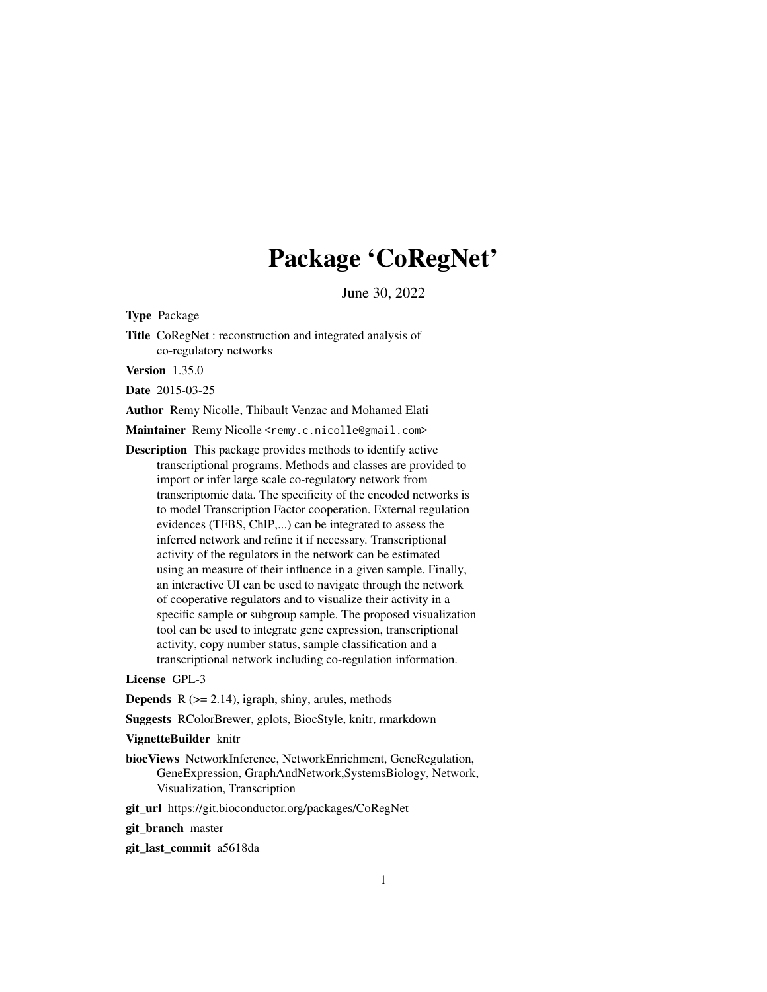# Package 'CoRegNet'

June 30, 2022

<span id="page-0-0"></span>Type Package

Title CoRegNet : reconstruction and integrated analysis of co-regulatory networks

Version 1.35.0

Date 2015-03-25

Author Remy Nicolle, Thibault Venzac and Mohamed Elati

Maintainer Remy Nicolle <remy.c.nicolle@gmail.com>

Description This package provides methods to identify active transcriptional programs. Methods and classes are provided to import or infer large scale co-regulatory network from transcriptomic data. The specificity of the encoded networks is to model Transcription Factor cooperation. External regulation evidences (TFBS, ChIP,...) can be integrated to assess the inferred network and refine it if necessary. Transcriptional activity of the regulators in the network can be estimated using an measure of their influence in a given sample. Finally, an interactive UI can be used to navigate through the network of cooperative regulators and to visualize their activity in a specific sample or subgroup sample. The proposed visualization tool can be used to integrate gene expression, transcriptional activity, copy number status, sample classification and a transcriptional network including co-regulation information.

License GPL-3

**Depends**  $R$  ( $>= 2.14$ ), igraph, shiny, arules, methods

Suggests RColorBrewer, gplots, BiocStyle, knitr, rmarkdown

#### VignetteBuilder knitr

biocViews NetworkInference, NetworkEnrichment, GeneRegulation, GeneExpression, GraphAndNetwork,SystemsBiology, Network, Visualization, Transcription

git\_url https://git.bioconductor.org/packages/CoRegNet

git branch master

git\_last\_commit a5618da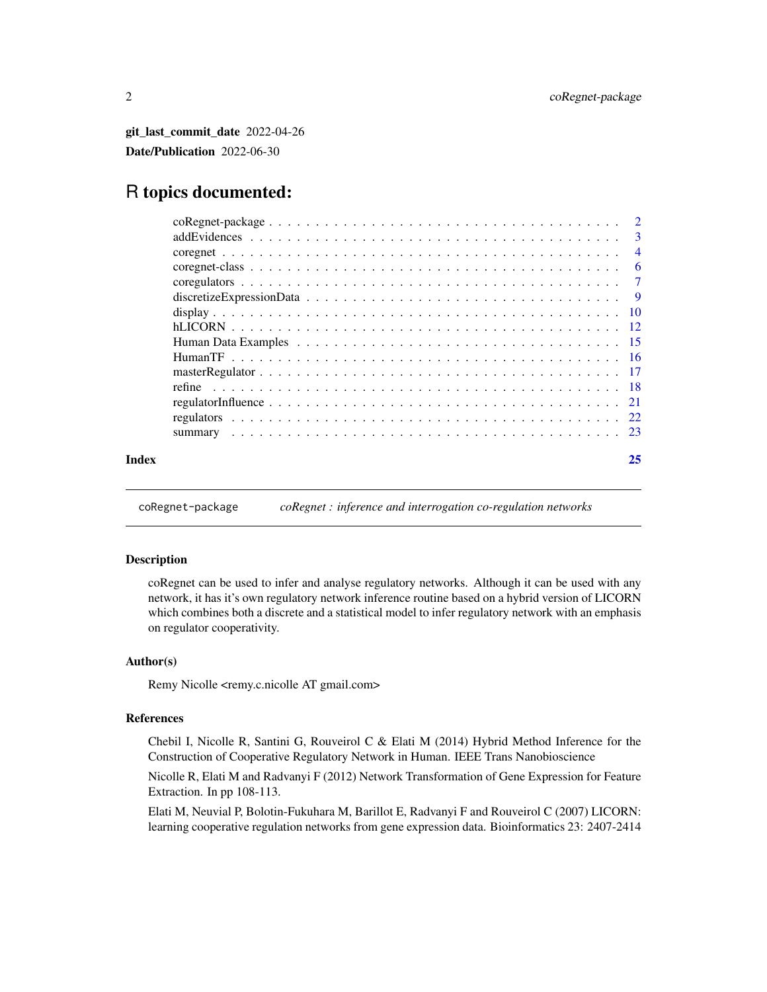<span id="page-1-0"></span>git\_last\_commit\_date 2022-04-26 Date/Publication 2022-06-30

# R topics documented:

| Index | 25  |
|-------|-----|
|       |     |
|       |     |
|       |     |
|       |     |
|       |     |
|       |     |
|       |     |
|       |     |
|       |     |
|       |     |
|       |     |
|       | - 6 |
|       |     |
|       |     |
|       |     |

coRegnet-package *coRegnet : inference and interrogation co-regulation networks*

# Description

coRegnet can be used to infer and analyse regulatory networks. Although it can be used with any network, it has it's own regulatory network inference routine based on a hybrid version of LICORN which combines both a discrete and a statistical model to infer regulatory network with an emphasis on regulator cooperativity.

### Author(s)

Remy Nicolle <remy.c.nicolle AT gmail.com>

# References

Chebil I, Nicolle R, Santini G, Rouveirol C & Elati M (2014) Hybrid Method Inference for the Construction of Cooperative Regulatory Network in Human. IEEE Trans Nanobioscience

Nicolle R, Elati M and Radvanyi F (2012) Network Transformation of Gene Expression for Feature Extraction. In pp 108-113.

Elati M, Neuvial P, Bolotin-Fukuhara M, Barillot E, Radvanyi F and Rouveirol C (2007) LICORN: learning cooperative regulation networks from gene expression data. Bioinformatics 23: 2407-2414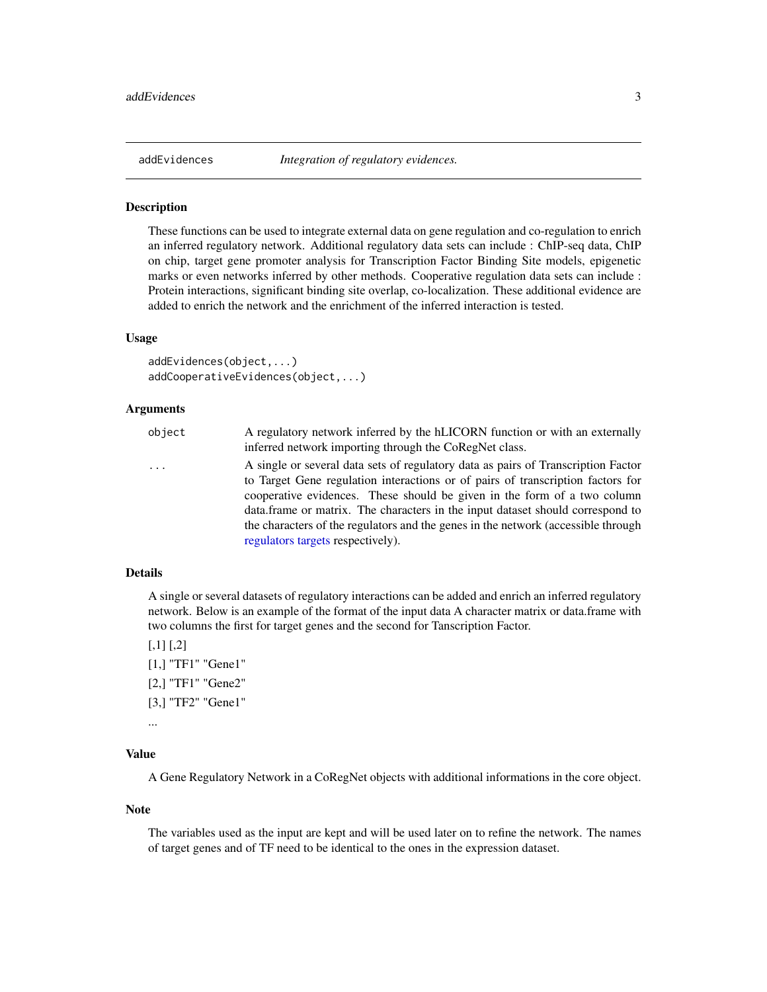<span id="page-2-1"></span><span id="page-2-0"></span>

#### <span id="page-2-2"></span>Description

These functions can be used to integrate external data on gene regulation and co-regulation to enrich an inferred regulatory network. Additional regulatory data sets can include : ChIP-seq data, ChIP on chip, target gene promoter analysis for Transcription Factor Binding Site models, epigenetic marks or even networks inferred by other methods. Cooperative regulation data sets can include : Protein interactions, significant binding site overlap, co-localization. These additional evidence are added to enrich the network and the enrichment of the inferred interaction is tested.

#### Usage

```
addEvidences(object,...)
addCooperativeEvidences(object,...)
```
#### Arguments

| object   | A regulatory network inferred by the hLICORN function or with an externally<br>inferred network importing through the CoRegNet class.                                                                                                                                                                                                                                                                                   |
|----------|-------------------------------------------------------------------------------------------------------------------------------------------------------------------------------------------------------------------------------------------------------------------------------------------------------------------------------------------------------------------------------------------------------------------------|
| $\cdots$ | A single or several data sets of regulatory data as pairs of Transcription Factor<br>to Target Gene regulation interactions or of pairs of transcription factors for<br>cooperative evidences. These should be given in the form of a two column<br>data.frame or matrix. The characters in the input dataset should correspond to<br>the characters of the regulators and the genes in the network (accessible through |
|          | regulators targets respectively).                                                                                                                                                                                                                                                                                                                                                                                       |

# Details

A single or several datasets of regulatory interactions can be added and enrich an inferred regulatory network. Below is an example of the format of the input data A character matrix or data.frame with two columns the first for target genes and the second for Tanscription Factor.

 $[,1]$   $[,2]$ [1,] "TF1" "Gene1" [2,] "TF1" "Gene2" [3,] "TF2" "Gene1"

...

### Value

A Gene Regulatory Network in a CoRegNet objects with additional informations in the core object.

#### Note

The variables used as the input are kept and will be used later on to refine the network. The names of target genes and of TF need to be identical to the ones in the expression dataset.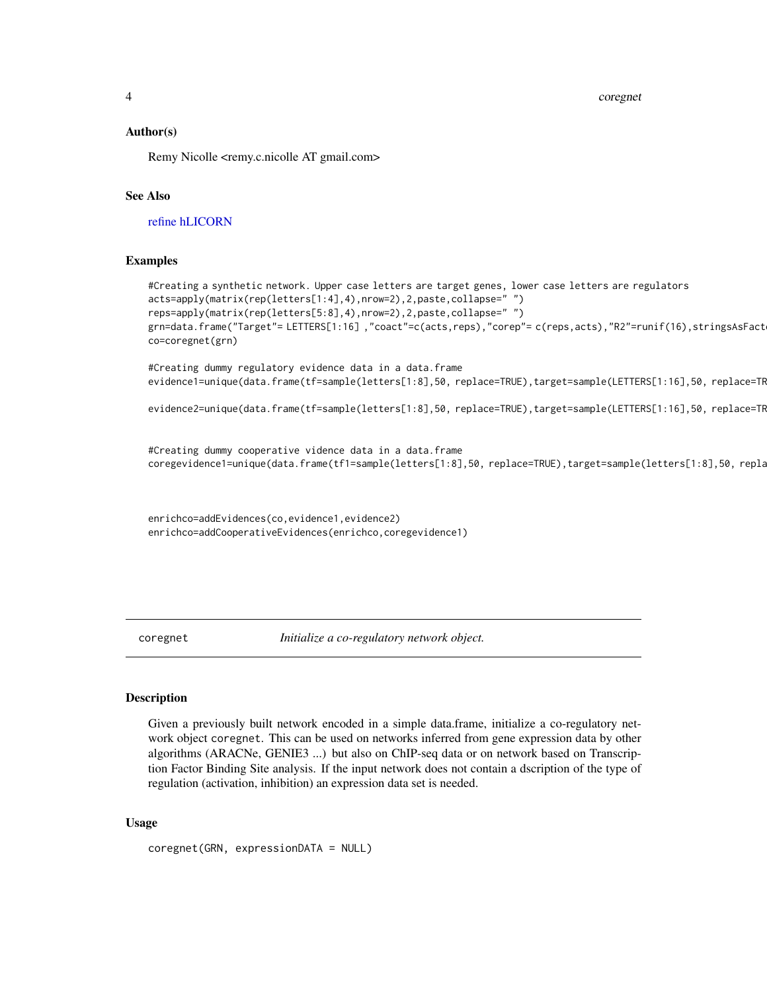<span id="page-3-0"></span>4 coregnet

#### Author(s)

Remy Nicolle <remy.c.nicolle AT gmail.com>

#### See Also

[refine](#page-17-1) [hLICORN](#page-11-1)

#### Examples

```
#Creating a synthetic network. Upper case letters are target genes, lower case letters are regulators
acts=apply(matrix(rep(letters[1:4],4),nrow=2),2,paste,collapse=" ")
reps=apply(matrix(rep(letters[5:8],4),nrow=2),2,paste,collapse=" ")
grn=data.frame("Target"= LETTERS[1:16],"coact"=c(acts,reps),"corep"= c(reps,acts),"R2"=runif(16),stringsAsFact
co=coregnet(grn)
```
#Creating dummy regulatory evidence data in a data.frame evidence1=unique(data.frame(tf=sample(letters[1:8],50, replace=TRUE),target=sample(LETTERS[1:16],50, replace=TR

```
evidence2=unique(data.frame(tf=sample(letters[1:8],50, replace=TRUE),target=sample(LETTERS[1:16],50, replace=TR
```
#Creating dummy cooperative vidence data in a data.frame coregevidence1=unique(data.frame(tf1=sample(letters[1:8],50, replace=TRUE),target=sample(letters[1:8],50, repla

enrichco=addEvidences(co,evidence1,evidence2) enrichco=addCooperativeEvidences(enrichco,coregevidence1)

<span id="page-3-1"></span>coregnet *Initialize a co-regulatory network object.*

#### Description

Given a previously built network encoded in a simple data.frame, initialize a co-regulatory network object coregnet. This can be used on networks inferred from gene expression data by other algorithms (ARACNe, GENIE3 ...) but also on ChIP-seq data or on network based on Transcription Factor Binding Site analysis. If the input network does not contain a dscription of the type of regulation (activation, inhibition) an expression data set is needed.

#### Usage

coregnet(GRN, expressionDATA = NULL)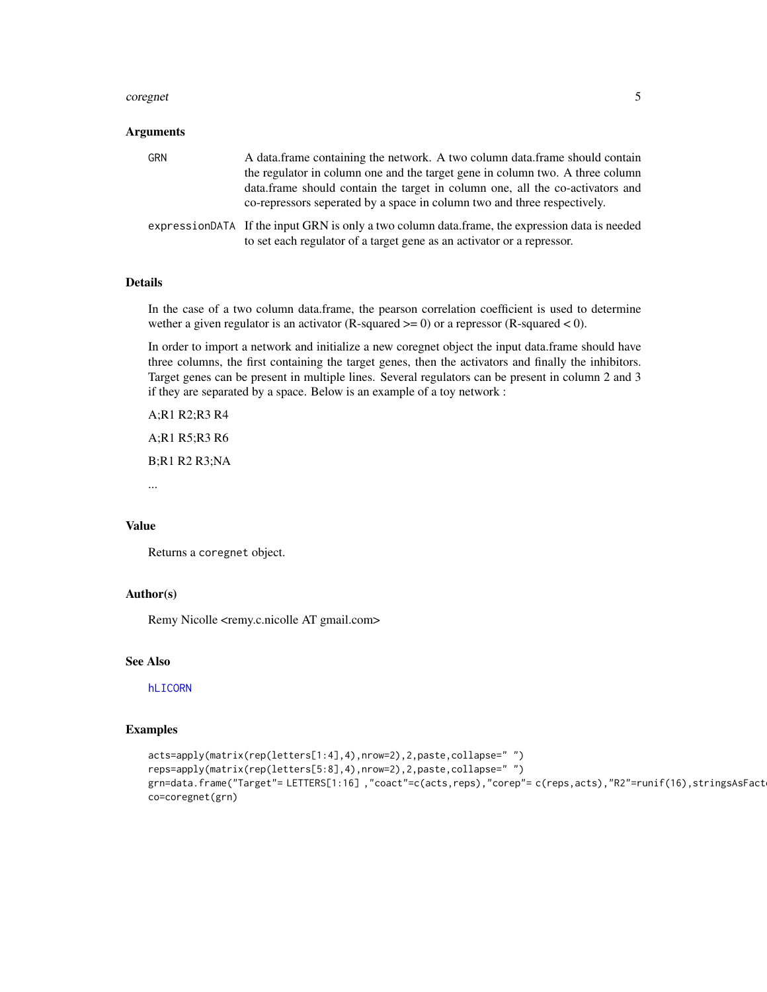#### <span id="page-4-0"></span>coregnet 5

#### Arguments

| GRN | A data frame containing the network. A two column data frame should contain<br>the regulator in column one and the target gene in column two. A three column<br>data, frame should contain the target in column one, all the co-activators and<br>co-repressors seperated by a space in column two and three respectively. |
|-----|----------------------------------------------------------------------------------------------------------------------------------------------------------------------------------------------------------------------------------------------------------------------------------------------------------------------------|
|     | expressionDATA If the input GRN is only a two column data.frame, the expression data is needed<br>to set each regulator of a target gene as an activator or a repressor.                                                                                                                                                   |

# Details

In the case of a two column data.frame, the pearson correlation coefficient is used to determine wether a given regulator is an activator (R-squared  $>= 0$ ) or a repressor (R-squared  $< 0$ ).

In order to import a network and initialize a new coregnet object the input data.frame should have three columns, the first containing the target genes, then the activators and finally the inhibitors. Target genes can be present in multiple lines. Several regulators can be present in column 2 and 3 if they are separated by a space. Below is an example of a toy network :

A;R1 R2;R3 R4 A;R1 R5;R3 R6 B;R1 R2 R3;NA

...

#### Value

Returns a coregnet object.

# Author(s)

Remy Nicolle <remy.c.nicolle AT gmail.com>

### See Also

[hLICORN](#page-11-1)

# Examples

```
acts=apply(matrix(rep(letters[1:4],4),nrow=2),2,paste,collapse=" ")
reps=apply(matrix(rep(letters[5:8],4),nrow=2),2,paste,collapse=" ")
grn=data.frame("Target"= LETTERS[1:16],"coact"=c(acts,reps),"corep"= c(reps,acts),"R2"=runif(16),stringsAsFact
co=coregnet(grn)
```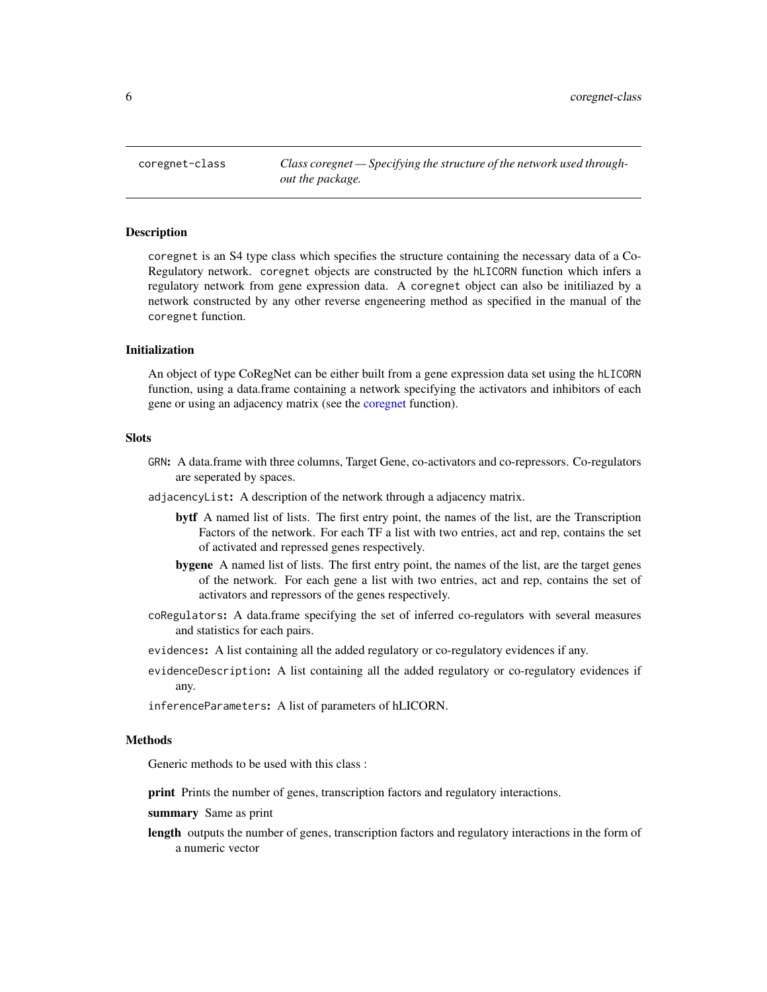<span id="page-5-1"></span><span id="page-5-0"></span>coregnet-class *Class coregnet — Specifying the structure of the network used throughout the package.*

#### Description

coregnet is an S4 type class which specifies the structure containing the necessary data of a Co-Regulatory network. coregnet objects are constructed by the hLICORN function which infers a regulatory network from gene expression data. A coregnet object can also be initiliazed by a network constructed by any other reverse engeneering method as specified in the manual of the coregnet function.

#### Initialization

An object of type CoRegNet can be either built from a gene expression data set using the hLICORN function, using a data.frame containing a network specifying the activators and inhibitors of each gene or using an adjacency matrix (see the [coregnet](#page-3-1) function).

#### Slots

- GRN: A data.frame with three columns, Target Gene, co-activators and co-repressors. Co-regulators are seperated by spaces.
- adjacencyList: A description of the network through a adjacency matrix.
	- bytf A named list of lists. The first entry point, the names of the list, are the Transcription Factors of the network. For each TF a list with two entries, act and rep, contains the set of activated and repressed genes respectively.
	- bygene A named list of lists. The first entry point, the names of the list, are the target genes of the network. For each gene a list with two entries, act and rep, contains the set of activators and repressors of the genes respectively.
- coRegulators: A data.frame specifying the set of inferred co-regulators with several measures and statistics for each pairs.
- evidences: A list containing all the added regulatory or co-regulatory evidences if any.
- evidenceDescription: A list containing all the added regulatory or co-regulatory evidences if any.

inferenceParameters: A list of parameters of hLICORN.

#### Methods

Generic methods to be used with this class :

print Prints the number of genes, transcription factors and regulatory interactions.

summary Same as print

length outputs the number of genes, transcription factors and regulatory interactions in the form of a numeric vector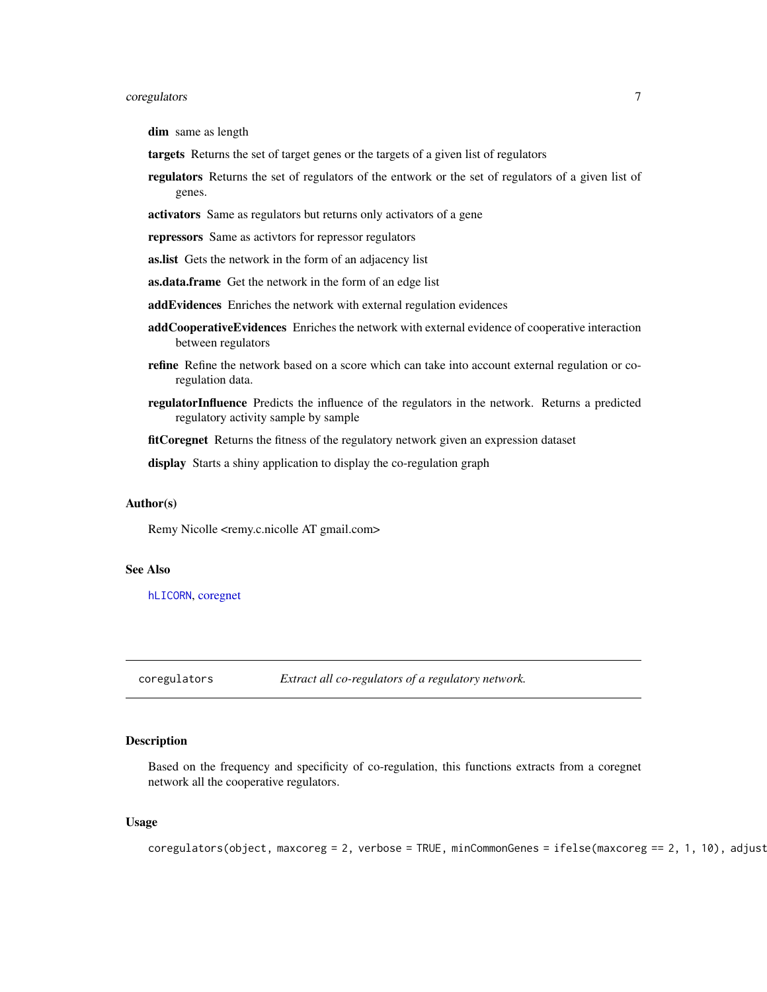# <span id="page-6-0"></span>coregulators 7

dim same as length

- targets Returns the set of target genes or the targets of a given list of regulators
- regulators Returns the set of regulators of the entwork or the set of regulators of a given list of genes.
- activators Same as regulators but returns only activators of a gene
- repressors Same as activtors for repressor regulators
- as.list Gets the network in the form of an adjacency list
- as.data.frame Get the network in the form of an edge list
- addEvidences Enriches the network with external regulation evidences
- addCooperativeEvidences Enriches the network with external evidence of cooperative interaction between regulators
- refine Refine the network based on a score which can take into account external regulation or coregulation data.
- regulatorInfluence Predicts the influence of the regulators in the network. Returns a predicted regulatory activity sample by sample

fitCoregnet Returns the fitness of the regulatory network given an expression dataset

display Starts a shiny application to display the co-regulation graph

#### Author(s)

Remy Nicolle <remy.c.nicolle AT gmail.com>

### See Also

[hLICORN](#page-11-1), [coregnet](#page-3-1)

coregulators *Extract all co-regulators of a regulatory network.*

#### Description

Based on the frequency and specificity of co-regulation, this functions extracts from a coregnet network all the cooperative regulators.

#### Usage

```
coregulators(object, maxcoreg = 2, verbose = TRUE, minCommonGenes = ifelse(maxcoreg == 2, 1, 10), adjust
```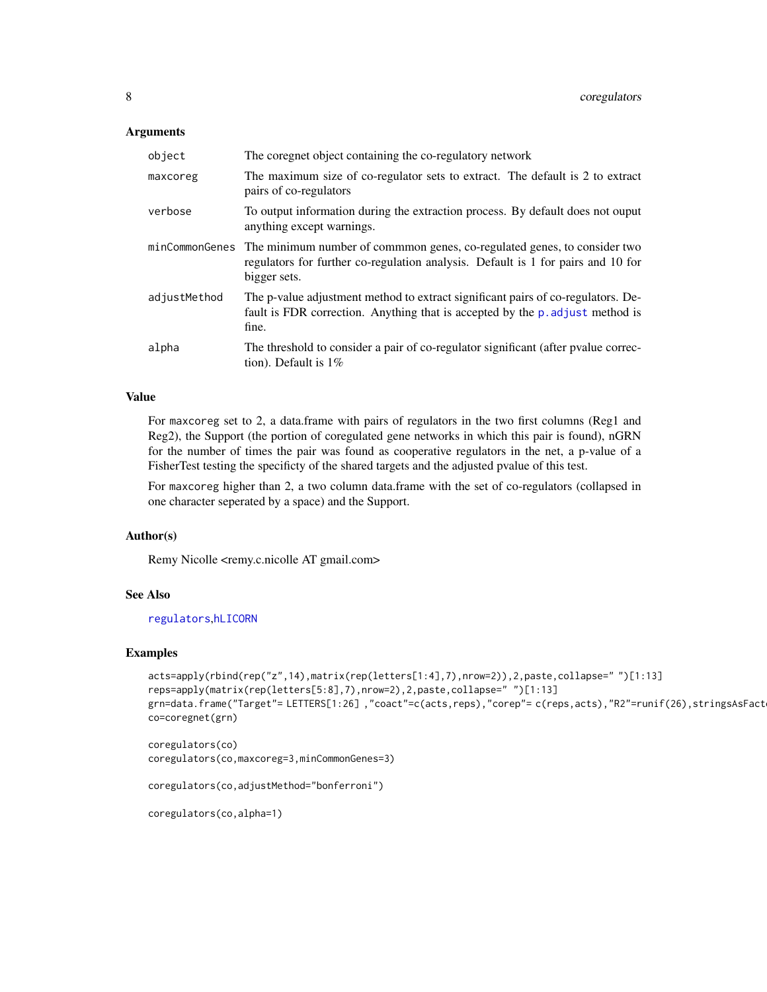#### <span id="page-7-0"></span>**Arguments**

| object       | The coregnet object containing the co-regulatory network                                                                                                                                   |
|--------------|--------------------------------------------------------------------------------------------------------------------------------------------------------------------------------------------|
| maxcoreg     | The maximum size of co-regulator sets to extract. The default is 2 to extract<br>pairs of co-regulators                                                                                    |
| verbose      | To output information during the extraction process. By default does not ouput<br>anything except warnings.                                                                                |
|              | minCommonGenes The minimum number of common genes, co-regulated genes, to consider two<br>regulators for further co-regulation analysis. Default is 1 for pairs and 10 for<br>bigger sets. |
| adjustMethod | The p-value adjustment method to extract significant pairs of co-regulators. De-<br>fault is FDR correction. Anything that is accepted by the p. adjust method is<br>fine.                 |
| alpha        | The threshold to consider a pair of co-regulator significant (after pvalue correc-<br>tion). Default is 1%                                                                                 |

#### Value

For maxcoreg set to 2, a data.frame with pairs of regulators in the two first columns (Reg1 and Reg2), the Support (the portion of coregulated gene networks in which this pair is found), nGRN for the number of times the pair was found as cooperative regulators in the net, a p-value of a FisherTest testing the specificty of the shared targets and the adjusted pvalue of this test.

For maxcoreg higher than 2, a two column data.frame with the set of co-regulators (collapsed in one character seperated by a space) and the Support.

#### Author(s)

Remy Nicolle <remy.c.nicolle AT gmail.com>

#### See Also

[regulators](#page-21-1),[hLICORN](#page-11-1)

#### Examples

```
acts=apply(rbind(rep("z",14),matrix(rep(letters[1:4],7),nrow=2)),2,paste,collapse=" ")[1:13]
reps=apply(matrix(rep(letters[5:8],7),nrow=2),2,paste,collapse=" ")[1:13]
grn=data.frame("Target"= LETTERS[1:26],"coact"=c(acts,reps),"corep"= c(reps,acts),"R2"=runif(26),stringsAsFact
co=coregnet(grn)
```

```
coregulators(co)
coregulators(co,maxcoreg=3,minCommonGenes=3)
```
coregulators(co,adjustMethod="bonferroni")

coregulators(co,alpha=1)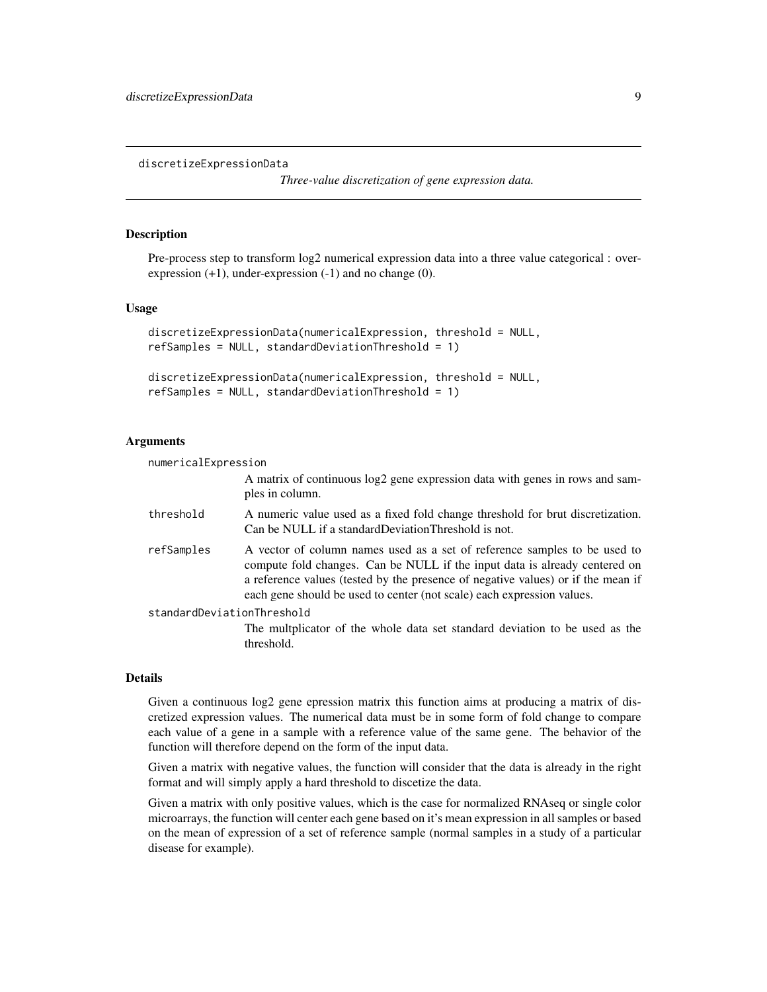<span id="page-8-1"></span><span id="page-8-0"></span>discretizeExpressionData

*Three-value discretization of gene expression data.*

#### Description

Pre-process step to transform log2 numerical expression data into a three value categorical : overexpression  $(+1)$ , under-expression  $(-1)$  and no change  $(0)$ .

#### Usage

```
discretizeExpressionData(numericalExpression, threshold = NULL,
refSamples = NULL, standardDeviationThreshold = 1)
```

```
discretizeExpressionData(numericalExpression, threshold = NULL,
refSamples = NULL, standardDeviationThreshold = 1)
```
#### Arguments

numericalExpression

A matrix of continuous log2 gene expression data with genes in rows and samples in column.

threshold A numeric value used as a fixed fold change threshold for brut discretization. Can be NULL if a standardDeviationThreshold is not.

refSamples A vector of column names used as a set of reference samples to be used to compute fold changes. Can be NULL if the input data is already centered on a reference values (tested by the presence of negative values) or if the mean if each gene should be used to center (not scale) each expression values.

standardDeviationThreshold

The multplicator of the whole data set standard deviation to be used as the threshold.

#### Details

Given a continuous log2 gene epression matrix this function aims at producing a matrix of discretized expression values. The numerical data must be in some form of fold change to compare each value of a gene in a sample with a reference value of the same gene. The behavior of the function will therefore depend on the form of the input data.

Given a matrix with negative values, the function will consider that the data is already in the right format and will simply apply a hard threshold to discetize the data.

Given a matrix with only positive values, which is the case for normalized RNAseq or single color microarrays, the function will center each gene based on it's mean expression in all samples or based on the mean of expression of a set of reference sample (normal samples in a study of a particular disease for example).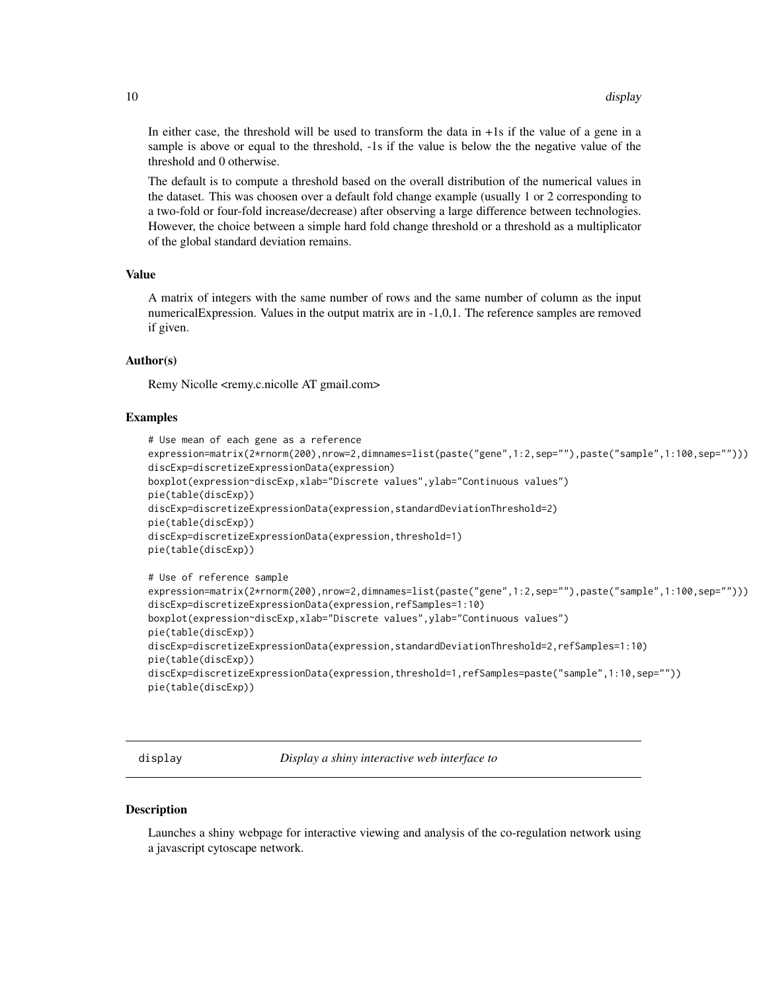<span id="page-9-0"></span>In either case, the threshold will be used to transform the data in +1s if the value of a gene in a sample is above or equal to the threshold, -1s if the value is below the the negative value of the threshold and 0 otherwise.

The default is to compute a threshold based on the overall distribution of the numerical values in the dataset. This was choosen over a default fold change example (usually 1 or 2 corresponding to a two-fold or four-fold increase/decrease) after observing a large difference between technologies. However, the choice between a simple hard fold change threshold or a threshold as a multiplicator of the global standard deviation remains.

#### Value

A matrix of integers with the same number of rows and the same number of column as the input numericalExpression. Values in the output matrix are in -1,0,1. The reference samples are removed if given.

#### Author(s)

Remy Nicolle <remy.c.nicolle AT gmail.com>

#### Examples

```
# Use mean of each gene as a reference
expression=matrix(2*rnorm(200),nrow=2,dimnames=list(paste("gene",1:2,sep=""),paste("sample",1:100,sep="")))
discExp=discretizeExpressionData(expression)
boxplot(expression~discExp,xlab="Discrete values",ylab="Continuous values")
pie(table(discExp))
discExp=discretizeExpressionData(expression,standardDeviationThreshold=2)
pie(table(discExp))
discExp=discretizeExpressionData(expression,threshold=1)
pie(table(discExp))
# Use of reference sample
expression=matrix(2*rnorm(200),nrow=2,dimnames=list(paste("gene",1:2,sep=""),paste("sample",1:100,sep="")))
discExp=discretizeExpressionData(expression,refSamples=1:10)
boxplot(expression~discExp,xlab="Discrete values",ylab="Continuous values")
pie(table(discExp))
discExp=discretizeExpressionData(expression,standardDeviationThreshold=2,refSamples=1:10)
pie(table(discExp))
```

```
discExp=discretizeExpressionData(expression,threshold=1,refSamples=paste("sample",1:10,sep=""))
pie(table(discExp))
```
display *Display a shiny interactive web interface to*

# **Description**

Launches a shiny webpage for interactive viewing and analysis of the co-regulation network using a javascript cytoscape network.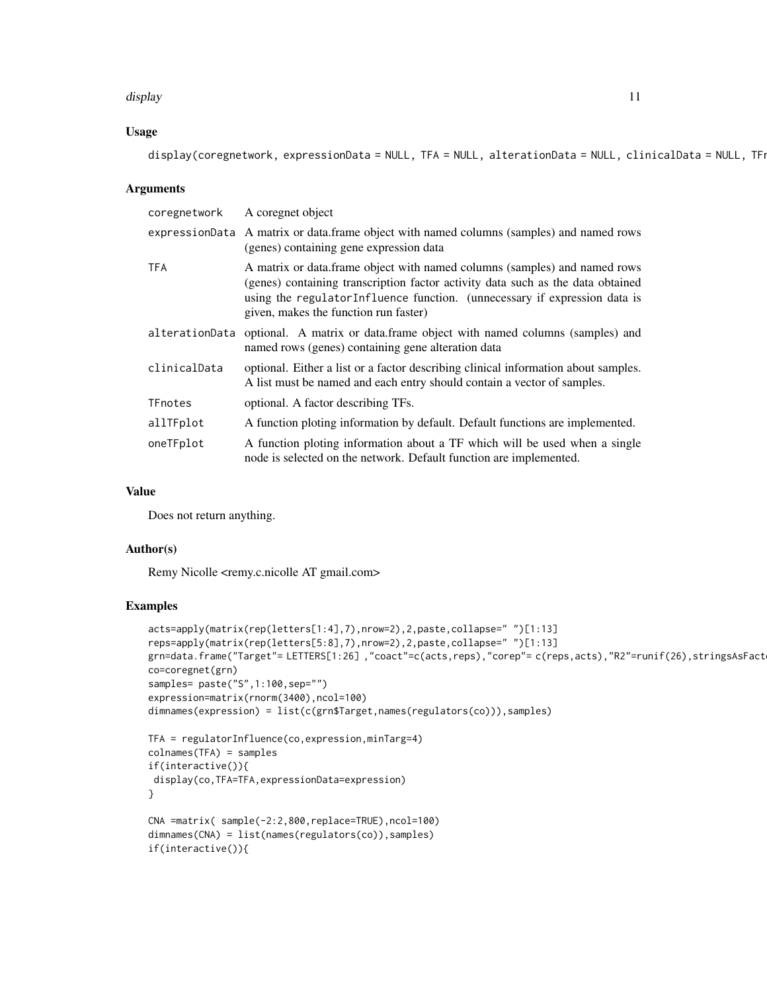#### display that the contract of the contract of the contract of the contract of the contract of the contract of the contract of the contract of the contract of the contract of the contract of the contract of the contract of t

#### Usage

display(coregnetwork, expressionData = NULL, TFA = NULL, alterationData = NULL, clinicalData = NULL, TFi

# **Arguments**

| coregnetwork   | A coregnet object                                                                                                                                                                                                                                                                   |  |
|----------------|-------------------------------------------------------------------------------------------------------------------------------------------------------------------------------------------------------------------------------------------------------------------------------------|--|
|                | expressionData A matrix or data.frame object with named columns (samples) and named rows<br>(genes) containing gene expression data                                                                                                                                                 |  |
| <b>TFA</b>     | A matrix or data. frame object with named columns (samples) and named rows<br>(genes) containing transcription factor activity data such as the data obtained<br>using the regulatorInfluence function. (unnecessary if expression data is<br>given, makes the function run faster) |  |
| alterationData | optional. A matrix or data frame object with named columns (samples) and<br>named rows (genes) containing gene alteration data                                                                                                                                                      |  |
| clinicalData   | optional. Either a list or a factor describing clinical information about samples.<br>A list must be named and each entry should contain a vector of samples.                                                                                                                       |  |
| TFnotes        | optional. A factor describing TFs.                                                                                                                                                                                                                                                  |  |
| allTFplot      | A function ploting information by default. Default functions are implemented.                                                                                                                                                                                                       |  |
| oneTFplot      | A function ploting information about a TF which will be used when a single<br>node is selected on the network. Default function are implemented.                                                                                                                                    |  |

#### Value

Does not return anything.

#### Author(s)

Remy Nicolle <remy.c.nicolle AT gmail.com>

# Examples

```
acts=apply(matrix(rep(letters[1:4],7),nrow=2),2,paste,collapse=" ")[1:13]
reps=apply(matrix(rep(letters[5:8],7),nrow=2),2,paste,collapse=" ")[1:13]
grn=data.frame("Target"= LETTERS[1:26],"coact"=c(acts,reps),"corep"= c(reps,acts),"R2"=runif(26),stringsAsFact
co=coregnet(grn)
samples= paste("S",1:100,sep="")
expression=matrix(rnorm(3400),ncol=100)
dimnames(expression) = list(c(grn$Target,names(regulators(co))),samples)
TFA = regulatorInfluence(co,expression,minTarg=4)
colnames(TFA) = samples
if(interactive()){
display(co,TFA=TFA,expressionData=expression)
}
```

```
CNA =matrix( sample(-2:2,800,replace=TRUE),ncol=100)
dimnames(CNA) = list(names(regulators(co)),samples)
if(interactive()){
```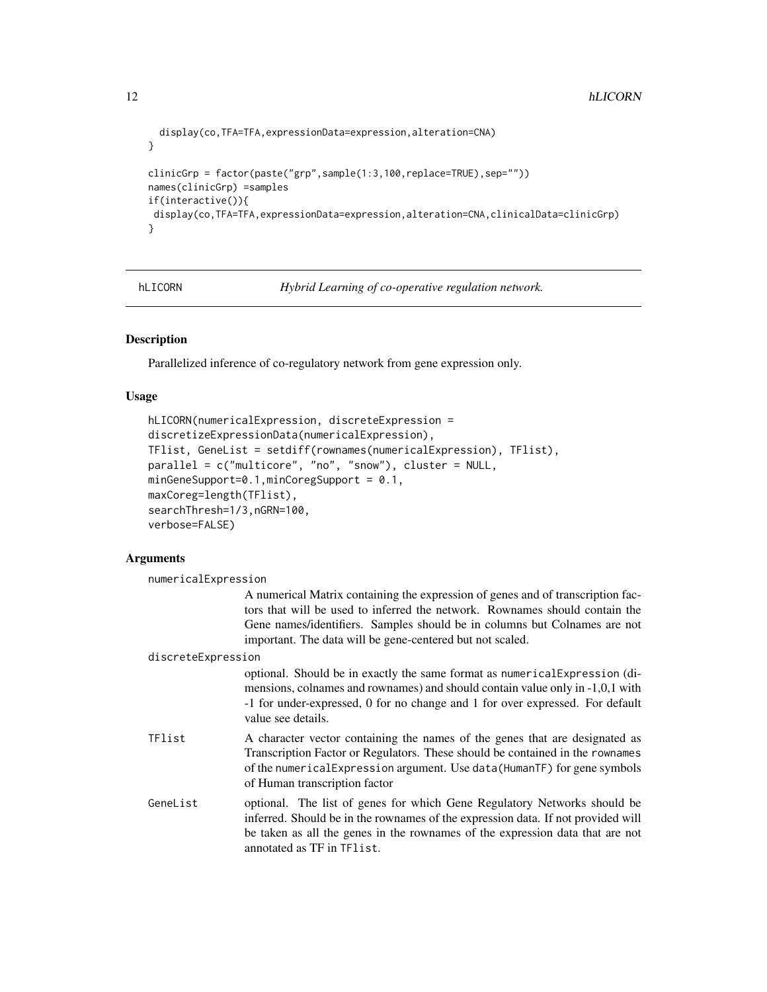```
display(co,TFA=TFA,expressionData=expression,alteration=CNA)
}
clinicGrp = factor(paste("grp",sample(1:3,100,replace=TRUE),sep=""))
names(clinicGrp) =samples
if(interactive()){
display(co,TFA=TFA,expressionData=expression,alteration=CNA,clinicalData=clinicGrp)
}
```
<span id="page-11-1"></span>hLICORN *Hybrid Learning of co-operative regulation network.*

# Description

Parallelized inference of co-regulatory network from gene expression only.

# Usage

```
hLICORN(numericalExpression, discreteExpression =
discretizeExpressionData(numericalExpression),
TFlist, GeneList = setdiff(rownames(numericalExpression), TFlist),
parallel = c("multicore", "no", "snow"), cluster = NULL,
minGeneSupport=0.1,minCoregSupport = 0.1,
maxCoreg=length(TFlist),
searchThresh=1/3,nGRN=100,
verbose=FALSE)
```
# Arguments

| numericalExpression |                                                                                                                                                                                                                                                                                                          |
|---------------------|----------------------------------------------------------------------------------------------------------------------------------------------------------------------------------------------------------------------------------------------------------------------------------------------------------|
|                     | A numerical Matrix containing the expression of genes and of transcription fac-<br>tors that will be used to inferred the network. Rownames should contain the<br>Gene names/identifiers. Samples should be in columns but Colnames are not<br>important. The data will be gene-centered but not scaled. |
| discreteExpression  |                                                                                                                                                                                                                                                                                                          |
|                     | optional. Should be in exactly the same format as numerical Expression (di-<br>mensions, colnames and rownames) and should contain value only in -1,0,1 with<br>-1 for under-expressed, 0 for no change and 1 for over expressed. For default<br>value see details.                                      |
| TFlist              | A character vector containing the names of the genes that are designated as<br>Transcription Factor or Regulators. These should be contained in the rownames<br>of the numerical Expression argument. Use data (HumanTF) for gene symbols<br>of Human transcription factor                               |
| GeneList            | optional. The list of genes for which Gene Regulatory Networks should be<br>inferred. Should be in the rownames of the expression data. If not provided will<br>be taken as all the genes in the rownames of the expression data that are not<br>annotated as TF in TF1ist.                              |

<span id="page-11-0"></span>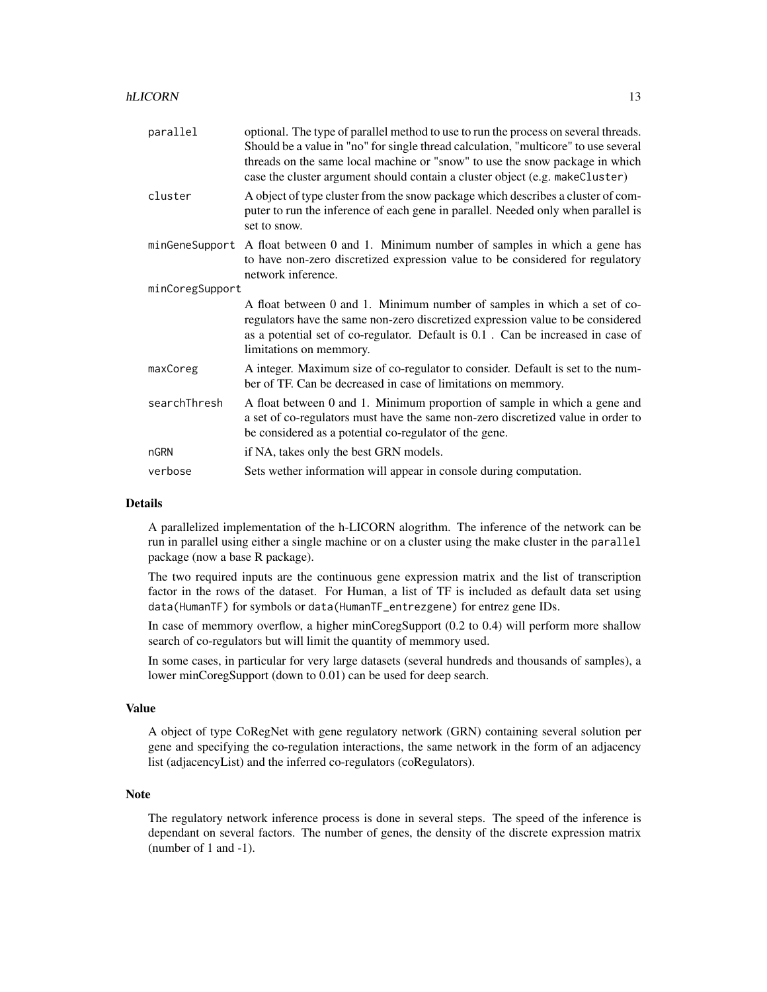| parallel        | optional. The type of parallel method to use to run the process on several threads.<br>Should be a value in "no" for single thread calculation, "multicore" to use several<br>threads on the same local machine or "snow" to use the snow package in which<br>case the cluster argument should contain a cluster object (e.g. makeCluster) |  |
|-----------------|--------------------------------------------------------------------------------------------------------------------------------------------------------------------------------------------------------------------------------------------------------------------------------------------------------------------------------------------|--|
| cluster         | A object of type cluster from the snow package which describes a cluster of com-<br>puter to run the inference of each gene in parallel. Needed only when parallel is<br>set to snow.                                                                                                                                                      |  |
| minGeneSupport  | A float between 0 and 1. Minimum number of samples in which a gene has<br>to have non-zero discretized expression value to be considered for regulatory<br>network inference.                                                                                                                                                              |  |
| minCoregSupport |                                                                                                                                                                                                                                                                                                                                            |  |
|                 | A float between 0 and 1. Minimum number of samples in which a set of co-<br>regulators have the same non-zero discretized expression value to be considered<br>as a potential set of co-regulator. Default is 0.1. Can be increased in case of<br>limitations on memmory.                                                                  |  |
| maxCoreg        | A integer. Maximum size of co-regulator to consider. Default is set to the num-<br>ber of TF. Can be decreased in case of limitations on memmory.                                                                                                                                                                                          |  |
| searchThresh    | A float between 0 and 1. Minimum proportion of sample in which a gene and<br>a set of co-regulators must have the same non-zero discretized value in order to<br>be considered as a potential co-regulator of the gene.                                                                                                                    |  |
| nGRN            | if NA, takes only the best GRN models.                                                                                                                                                                                                                                                                                                     |  |
| verbose         | Sets wether information will appear in console during computation.                                                                                                                                                                                                                                                                         |  |

#### Details

A parallelized implementation of the h-LICORN alogrithm. The inference of the network can be run in parallel using either a single machine or on a cluster using the make cluster in the parallel package (now a base R package).

The two required inputs are the continuous gene expression matrix and the list of transcription factor in the rows of the dataset. For Human, a list of TF is included as default data set using data(HumanTF) for symbols or data(HumanTF\_entrezgene) for entrez gene IDs.

In case of memmory overflow, a higher minCoregSupport (0.2 to 0.4) will perform more shallow search of co-regulators but will limit the quantity of memmory used.

In some cases, in particular for very large datasets (several hundreds and thousands of samples), a lower minCoregSupport (down to 0.01) can be used for deep search.

# Value

A object of type CoRegNet with gene regulatory network (GRN) containing several solution per gene and specifying the co-regulation interactions, the same network in the form of an adjacency list (adjacencyList) and the inferred co-regulators (coRegulators).

# Note

The regulatory network inference process is done in several steps. The speed of the inference is dependant on several factors. The number of genes, the density of the discrete expression matrix (number of 1 and -1).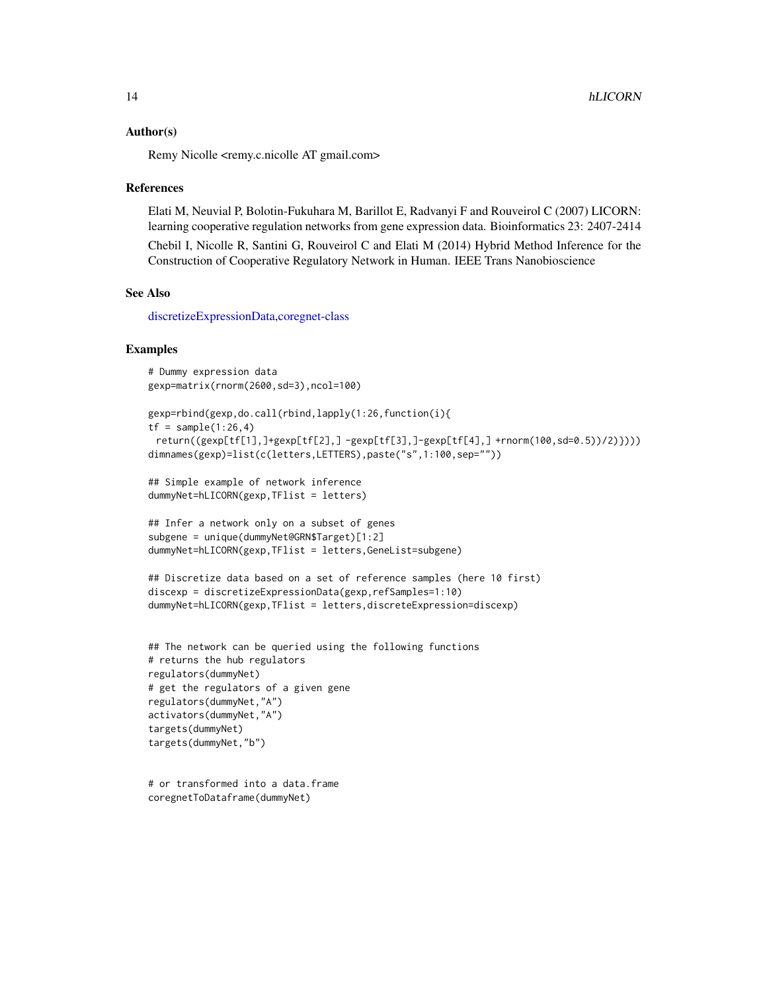#### <span id="page-13-0"></span>Author(s)

Remy Nicolle <remy.c.nicolle AT gmail.com>

#### References

Elati M, Neuvial P, Bolotin-Fukuhara M, Barillot E, Radvanyi F and Rouveirol C (2007) LICORN: learning cooperative regulation networks from gene expression data. Bioinformatics 23: 2407-2414

Chebil I, Nicolle R, Santini G, Rouveirol C and Elati M (2014) Hybrid Method Inference for the Construction of Cooperative Regulatory Network in Human. IEEE Trans Nanobioscience

#### See Also

[discretizeExpressionData,](#page-8-1)[coregnet-class](#page-5-1)

#### Examples

```
# Dummy expression data
gexp=matrix(rnorm(2600,sd=3),ncol=100)
```

```
gexp=rbind(gexp,do.call(rbind,lapply(1:26,function(i){
tf = sample(1:26, 4)return((gexp[tf[1],]+gexp[tf[2],] -gexp[tf[3],]-gexp[tf[4],] +rnorm(100,sd=0.5))/2)})))
dimnames(gexp)=list(c(letters,LETTERS),paste("s",1:100,sep=""))
```
## Simple example of network inference dummyNet=hLICORN(gexp,TFlist = letters)

```
## Infer a network only on a subset of genes
subgene = unique(dummyNet@GRN$Target)[1:2]
dummyNet=hLICORN(gexp,TFlist = letters,GeneList=subgene)
```

```
## Discretize data based on a set of reference samples (here 10 first)
discexp = discretizeExpressionData(gexp,refSamples=1:10)
dummyNet=hLICORN(gexp,TFlist = letters,discreteExpression=discexp)
```

```
## The network can be queried using the following functions
# returns the hub regulators
regulators(dummyNet)
# get the regulators of a given gene
regulators(dummyNet,"A")
activators(dummyNet,"A")
targets(dummyNet)
targets(dummyNet,"b")
```

```
# or transformed into a data.frame
coregnetToDataframe(dummyNet)
```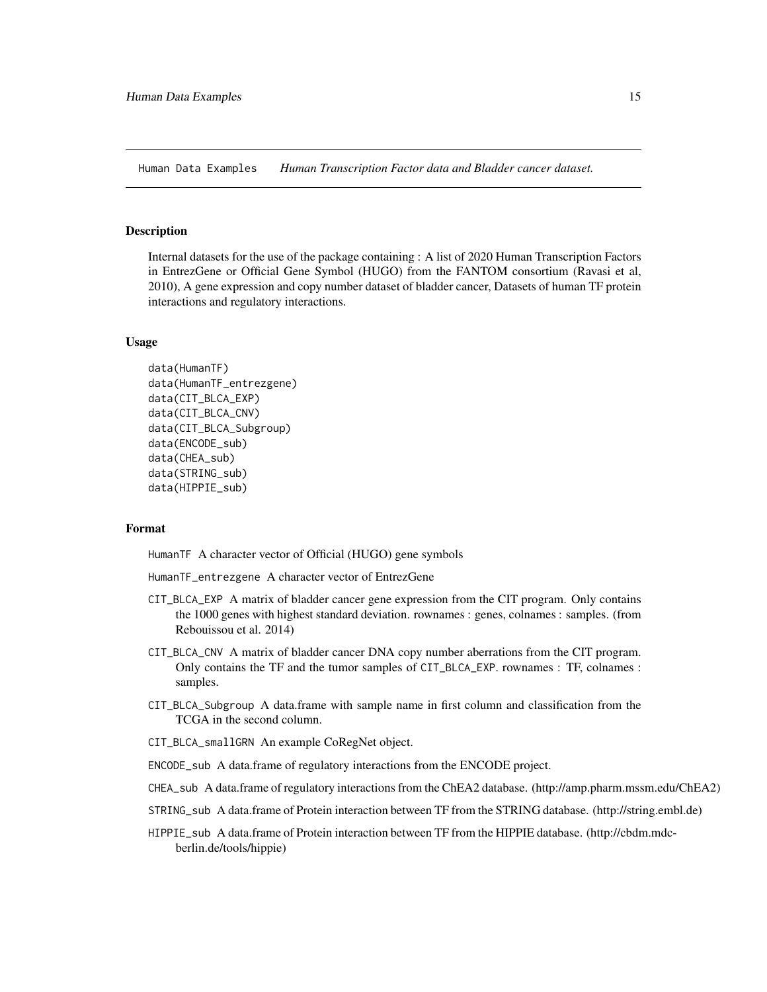<span id="page-14-0"></span>Human Data Examples *Human Transcription Factor data and Bladder cancer dataset.*

#### **Description**

Internal datasets for the use of the package containing : A list of 2020 Human Transcription Factors in EntrezGene or Official Gene Symbol (HUGO) from the FANTOM consortium (Ravasi et al, 2010), A gene expression and copy number dataset of bladder cancer, Datasets of human TF protein interactions and regulatory interactions.

#### Usage

```
data(HumanTF)
data(HumanTF_entrezgene)
data(CIT_BLCA_EXP)
data(CIT_BLCA_CNV)
data(CIT_BLCA_Subgroup)
data(ENCODE_sub)
data(CHEA_sub)
data(STRING_sub)
data(HIPPIE_sub)
```
#### Format

HumanTF A character vector of Official (HUGO) gene symbols

HumanTF\_entrezgene A character vector of EntrezGene

- CIT\_BLCA\_EXP A matrix of bladder cancer gene expression from the CIT program. Only contains the 1000 genes with highest standard deviation. rownames : genes, colnames : samples. (from Rebouissou et al. 2014)
- CIT\_BLCA\_CNV A matrix of bladder cancer DNA copy number aberrations from the CIT program. Only contains the TF and the tumor samples of CIT\_BLCA\_EXP. rownames : TF, colnames : samples.
- CIT\_BLCA\_Subgroup A data.frame with sample name in first column and classification from the TCGA in the second column.
- CIT\_BLCA\_smallGRN An example CoRegNet object.

ENCODE\_sub A data.frame of regulatory interactions from the ENCODE project.

- CHEA\_sub A data.frame of regulatory interactions from the ChEA2 database. (http://amp.pharm.mssm.edu/ChEA2)
- STRING\_sub A data.frame of Protein interaction between TF from the STRING database. (http://string.embl.de)
- HIPPIE\_sub A data.frame of Protein interaction between TF from the HIPPIE database. (http://cbdm.mdcberlin.de/tools/hippie)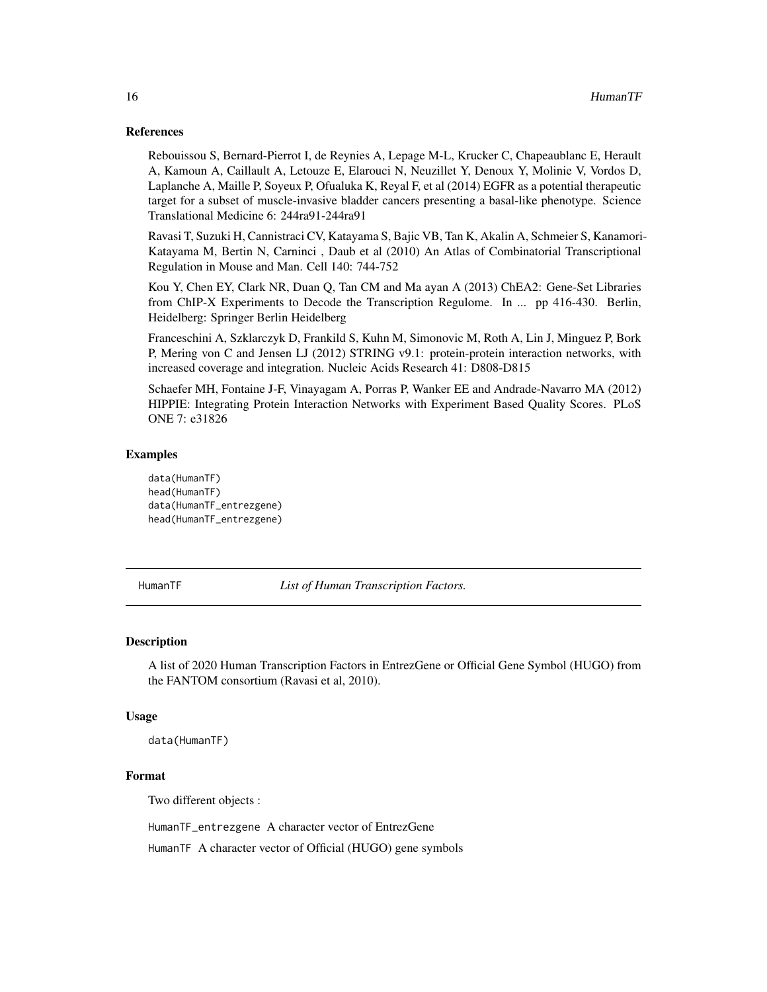#### <span id="page-15-0"></span>References

Rebouissou S, Bernard-Pierrot I, de Reynies A, Lepage M-L, Krucker C, Chapeaublanc E, Herault A, Kamoun A, Caillault A, Letouze E, Elarouci N, Neuzillet Y, Denoux Y, Molinie V, Vordos D, Laplanche A, Maille P, Soyeux P, Ofualuka K, Reyal F, et al (2014) EGFR as a potential therapeutic target for a subset of muscle-invasive bladder cancers presenting a basal-like phenotype. Science Translational Medicine 6: 244ra91-244ra91

Ravasi T, Suzuki H, Cannistraci CV, Katayama S, Bajic VB, Tan K, Akalin A, Schmeier S, Kanamori-Katayama M, Bertin N, Carninci , Daub et al (2010) An Atlas of Combinatorial Transcriptional Regulation in Mouse and Man. Cell 140: 744-752

Kou Y, Chen EY, Clark NR, Duan Q, Tan CM and Ma ayan A (2013) ChEA2: Gene-Set Libraries from ChIP-X Experiments to Decode the Transcription Regulome. In ... pp 416-430. Berlin, Heidelberg: Springer Berlin Heidelberg

Franceschini A, Szklarczyk D, Frankild S, Kuhn M, Simonovic M, Roth A, Lin J, Minguez P, Bork P, Mering von C and Jensen LJ (2012) STRING v9.1: protein-protein interaction networks, with increased coverage and integration. Nucleic Acids Research 41: D808-D815

Schaefer MH, Fontaine J-F, Vinayagam A, Porras P, Wanker EE and Andrade-Navarro MA (2012) HIPPIE: Integrating Protein Interaction Networks with Experiment Based Quality Scores. PLoS ONE 7: e31826

# Examples

```
data(HumanTF)
head(HumanTF)
data(HumanTF_entrezgene)
head(HumanTF_entrezgene)
```
HumanTF *List of Human Transcription Factors.*

#### Description

A list of 2020 Human Transcription Factors in EntrezGene or Official Gene Symbol (HUGO) from the FANTOM consortium (Ravasi et al, 2010).

#### Usage

data(HumanTF)

#### Format

Two different objects :

HumanTF\_entrezgene A character vector of EntrezGene

HumanTF A character vector of Official (HUGO) gene symbols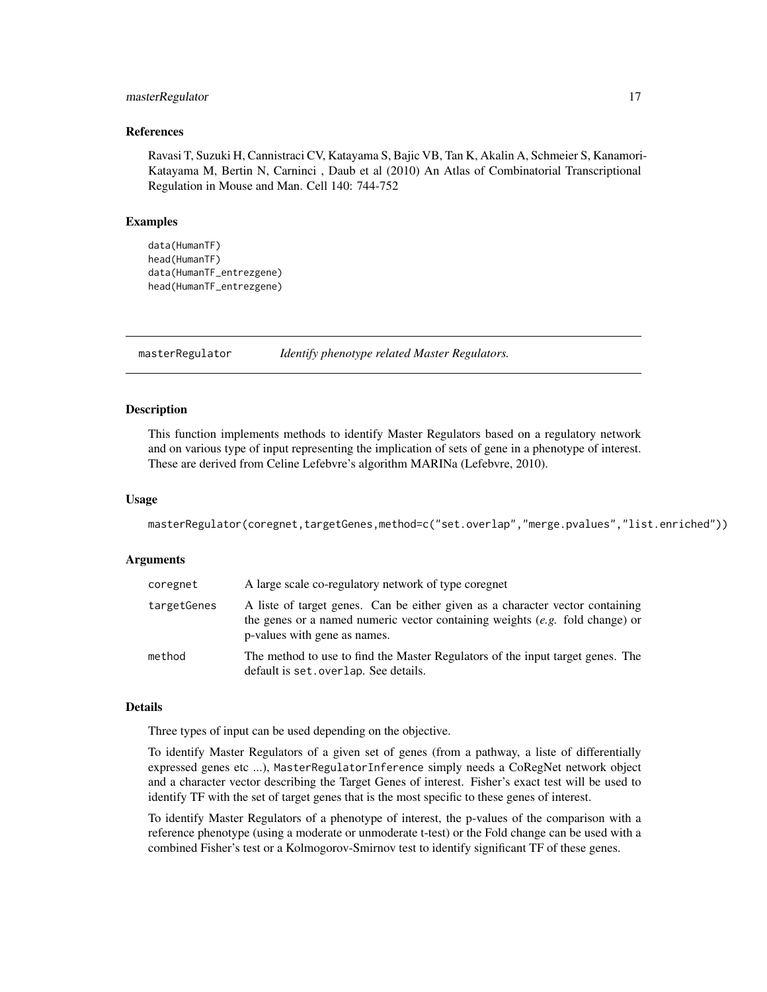#### <span id="page-16-0"></span>masterRegulator 17

#### References

Ravasi T, Suzuki H, Cannistraci CV, Katayama S, Bajic VB, Tan K, Akalin A, Schmeier S, Kanamori-Katayama M, Bertin N, Carninci , Daub et al (2010) An Atlas of Combinatorial Transcriptional Regulation in Mouse and Man. Cell 140: 744-752

## Examples

```
data(HumanTF)
head(HumanTF)
data(HumanTF_entrezgene)
head(HumanTF_entrezgene)
```
masterRegulator *Identify phenotype related Master Regulators.*

# **Description**

This function implements methods to identify Master Regulators based on a regulatory network and on various type of input representing the implication of sets of gene in a phenotype of interest. These are derived from Celine Lefebvre's algorithm MARINa (Lefebvre, 2010).

#### Usage

masterRegulator(coregnet,targetGenes,method=c("set.overlap","merge.pvalues","list.enriched"))

#### Arguments

| coregnet    | A large scale co-regulatory network of type coregnet                                                                                                                                            |  |
|-------------|-------------------------------------------------------------------------------------------------------------------------------------------------------------------------------------------------|--|
| targetGenes | A liste of target genes. Can be either given as a character vector containing<br>the genes or a named numeric vector containing weights $(e.g.$ fold change) or<br>p-values with gene as names. |  |
| method      | The method to use to find the Master Regulators of the input target genes. The<br>default is set. overlap. See details.                                                                         |  |

#### Details

Three types of input can be used depending on the objective.

To identify Master Regulators of a given set of genes (from a pathway, a liste of differentially expressed genes etc ...), MasterRegulatorInference simply needs a CoRegNet network object and a character vector describing the Target Genes of interest. Fisher's exact test will be used to identify TF with the set of target genes that is the most specific to these genes of interest.

To identify Master Regulators of a phenotype of interest, the p-values of the comparison with a reference phenotype (using a moderate or unmoderate t-test) or the Fold change can be used with a combined Fisher's test or a Kolmogorov-Smirnov test to identify significant TF of these genes.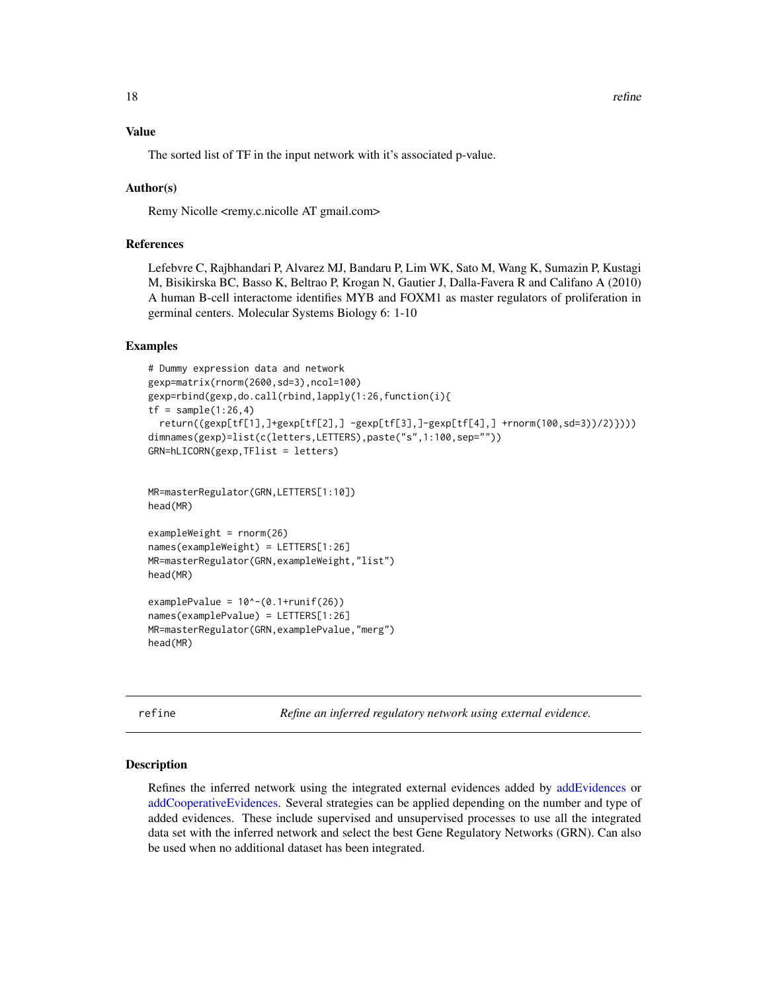# <span id="page-17-0"></span>Value

The sorted list of TF in the input network with it's associated p-value.

# Author(s)

Remy Nicolle <remy.c.nicolle AT gmail.com>

# References

Lefebvre C, Rajbhandari P, Alvarez MJ, Bandaru P, Lim WK, Sato M, Wang K, Sumazin P, Kustagi M, Bisikirska BC, Basso K, Beltrao P, Krogan N, Gautier J, Dalla-Favera R and Califano A (2010) A human B-cell interactome identifies MYB and FOXM1 as master regulators of proliferation in germinal centers. Molecular Systems Biology 6: 1-10

#### Examples

```
# Dummy expression data and network
gexp=matrix(rnorm(2600,sd=3),ncol=100)
gexp=rbind(gexp,do.call(rbind,lapply(1:26,function(i){
tf = sample(1:26, 4)return((gexp[tf[1],]+gexp[tf[2],] -gexp[tf[3],]-gexp[tf[4],] +rnorm(100,sd=3))/2)})))
dimnames(gexp)=list(c(letters,LETTERS),paste("s",1:100,sep=""))
GRN=hLICORN(gexp,TFlist = letters)
MR=masterRegulator(GRN,LETTERS[1:10])
head(MR)
exampleWeight = rnorm(26)
names(exampleWeight) = LETTERS[1:26]
MR=masterRegulator(GRN,exampleWeight,"list")
head(MR)
examplePvalue = 10^(-0.1+runif(26))names(examplePvalue) = LETTERS[1:26]
MR=masterRegulator(GRN,examplePvalue,"merg")
head(MR)
```
refine *Refine an inferred regulatory network using external evidence.*

#### Description

Refines the inferred network using the integrated external evidences added by [addEvidences](#page-2-1) or [addCooperativeEvidences.](#page-2-2) Several strategies can be applied depending on the number and type of added evidences. These include supervised and unsupervised processes to use all the integrated data set with the inferred network and select the best Gene Regulatory Networks (GRN). Can also be used when no additional dataset has been integrated.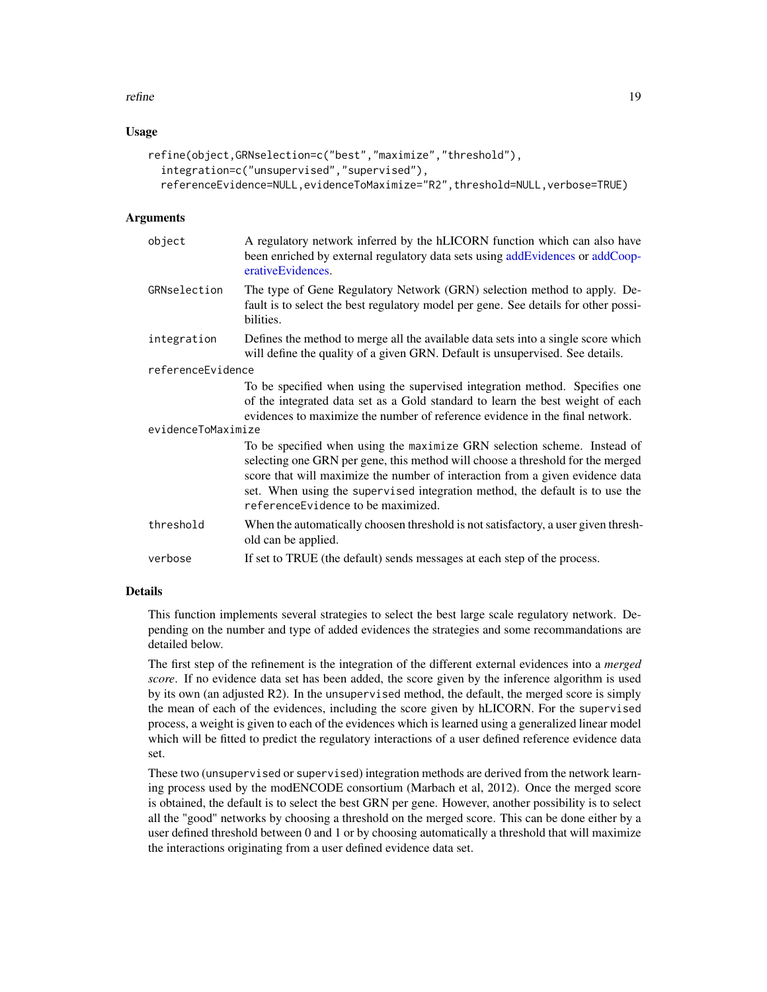#### refine that the set of the set of the set of the set of the set of the set of the set of the set of the set of the set of the set of the set of the set of the set of the set of the set of the set of the set of the set of t

#### Usage

```
refine(object,GRNselection=c("best","maximize","threshold"),
 integration=c("unsupervised","supervised"),
 referenceEvidence=NULL,evidenceToMaximize="R2",threshold=NULL,verbose=TRUE)
```
#### Arguments

| object             | A regulatory network inferred by the hLICORN function which can also have<br>been enriched by external regulatory data sets using addEvidences or addCoop-<br>erativeEvidences.                                                                                                                                                                                    |  |
|--------------------|--------------------------------------------------------------------------------------------------------------------------------------------------------------------------------------------------------------------------------------------------------------------------------------------------------------------------------------------------------------------|--|
| GRNselection       | The type of Gene Regulatory Network (GRN) selection method to apply. De-<br>fault is to select the best regulatory model per gene. See details for other possi-<br>bilities.                                                                                                                                                                                       |  |
| integration        | Defines the method to merge all the available data sets into a single score which<br>will define the quality of a given GRN. Default is unsupervised. See details.                                                                                                                                                                                                 |  |
| referenceEvidence  |                                                                                                                                                                                                                                                                                                                                                                    |  |
|                    | To be specified when using the supervised integration method. Specifies one<br>of the integrated data set as a Gold standard to learn the best weight of each<br>evidences to maximize the number of reference evidence in the final network.                                                                                                                      |  |
| evidenceToMaximize |                                                                                                                                                                                                                                                                                                                                                                    |  |
|                    | To be specified when using the maximize GRN selection scheme. Instead of<br>selecting one GRN per gene, this method will choose a threshold for the merged<br>score that will maximize the number of interaction from a given evidence data<br>set. When using the supervised integration method, the default is to use the<br>reference Evidence to be maximized. |  |
| threshold          | When the automatically choosen threshold is not satisfactory, a user given thresh-<br>old can be applied.                                                                                                                                                                                                                                                          |  |
| verbose            | If set to TRUE (the default) sends messages at each step of the process.                                                                                                                                                                                                                                                                                           |  |
|                    |                                                                                                                                                                                                                                                                                                                                                                    |  |

# Details

This function implements several strategies to select the best large scale regulatory network. Depending on the number and type of added evidences the strategies and some recommandations are detailed below.

The first step of the refinement is the integration of the different external evidences into a *merged score*. If no evidence data set has been added, the score given by the inference algorithm is used by its own (an adjusted R2). In the unsupervised method, the default, the merged score is simply the mean of each of the evidences, including the score given by hLICORN. For the supervised process, a weight is given to each of the evidences which is learned using a generalized linear model which will be fitted to predict the regulatory interactions of a user defined reference evidence data set.

These two (unsupervised or supervised) integration methods are derived from the network learning process used by the modENCODE consortium (Marbach et al, 2012). Once the merged score is obtained, the default is to select the best GRN per gene. However, another possibility is to select all the "good" networks by choosing a threshold on the merged score. This can be done either by a user defined threshold between 0 and 1 or by choosing automatically a threshold that will maximize the interactions originating from a user defined evidence data set.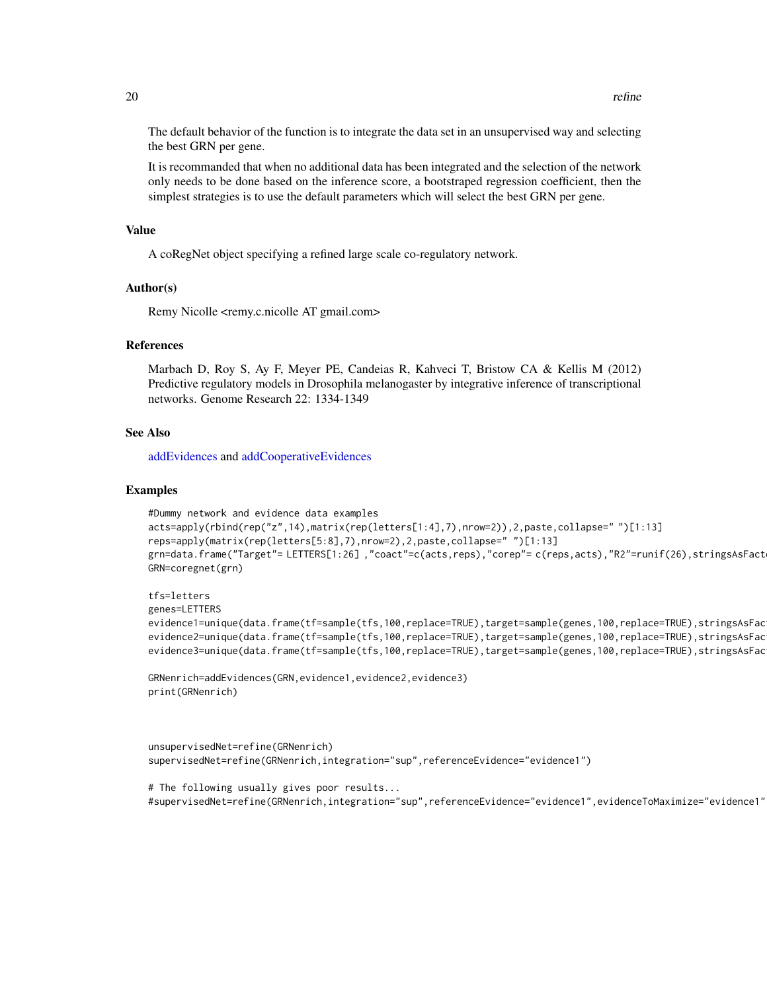<span id="page-19-0"></span>The default behavior of the function is to integrate the data set in an unsupervised way and selecting the best GRN per gene.

It is recommanded that when no additional data has been integrated and the selection of the network only needs to be done based on the inference score, a bootstraped regression coefficient, then the simplest strategies is to use the default parameters which will select the best GRN per gene.

#### Value

A coRegNet object specifying a refined large scale co-regulatory network.

#### Author(s)

Remy Nicolle <remy.c.nicolle AT gmail.com>

#### References

Marbach D, Roy S, Ay F, Meyer PE, Candeias R, Kahveci T, Bristow CA & Kellis M (2012) Predictive regulatory models in Drosophila melanogaster by integrative inference of transcriptional networks. Genome Research 22: 1334-1349

#### See Also

[addEvidences](#page-2-1) and [addCooperativeEvidences](#page-2-2)

#### Examples

```
#Dummy network and evidence data examples
acts=apply(rbind(rep("z",14),matrix(rep(letters[1:4],7),nrow=2)),2,paste,collapse=" ")[1:13]
reps=apply(matrix(rep(letters[5:8],7),nrow=2),2,paste,collapse=" ")[1:13]
grn=data.frame("Target"= LETTERS[1:26] ,"coact"=c(acts,reps),"corep"= c(reps,acts),"R2"=runif(26),stringsAsFact
GRN=coregnet(grn)
```

```
tfs=letters
genes=LETTERS
evidence1=unique(data.frame(tf=sample(tfs,100,replace=TRUE),target=sample(genes,100,replace=TRUE),stringsAsFac
evidence2=unique(data.frame(tf=sample(tfs,100,replace=TRUE),target=sample(genes,100,replace=TRUE),stringsAsFac
evidence3=unique(data.frame(tf=sample(tfs,100,replace=TRUE),target=sample(genes,100,replace=TRUE),stringsAsFac
```

```
GRNenrich=addEvidences(GRN,evidence1,evidence2,evidence3)
print(GRNenrich)
```

```
unsupervisedNet=refine(GRNenrich)
supervisedNet=refine(GRNenrich,integration="sup",referenceEvidence="evidence1")
```

```
# The following usually gives poor results...
#supervisedNet=refine(GRNenrich,integration="sup",referenceEvidence="evidence1",evidenceToMaximize="evidence1",GRNselection="maximize")
```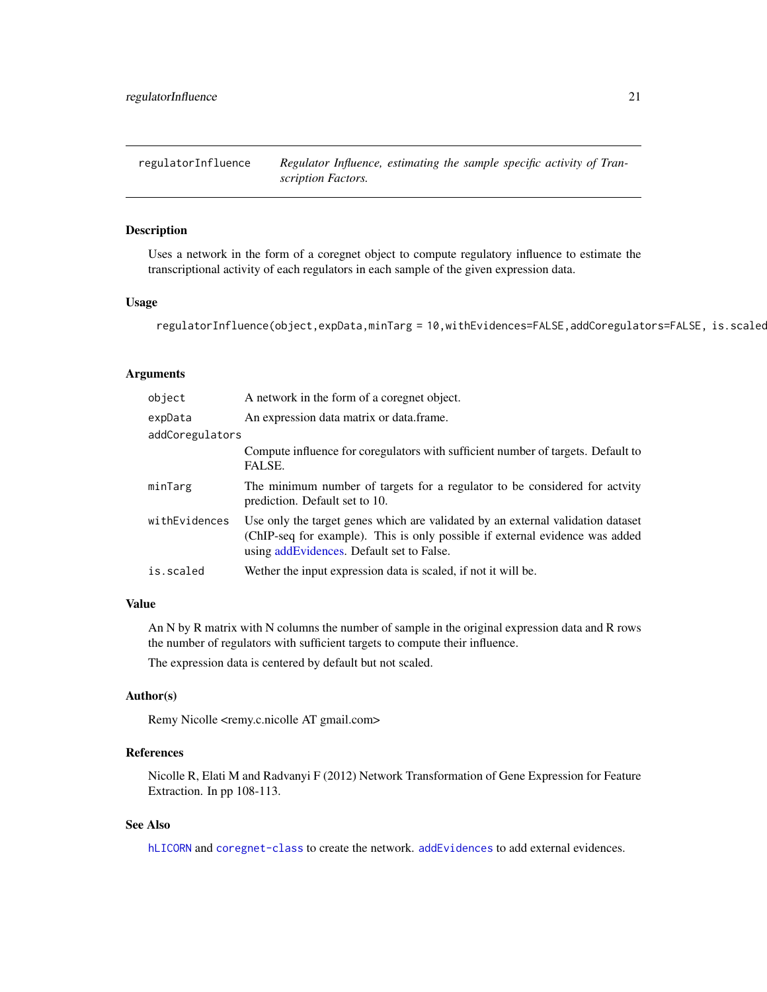<span id="page-20-0"></span>

#### Description

Uses a network in the form of a coregnet object to compute regulatory influence to estimate the transcriptional activity of each regulators in each sample of the given expression data.

# Usage

```
regulatorInfluence(object,expData,minTarg = 10,withEvidences=FALSE,addCoregulators=FALSE, is.scaled
```
### Arguments

| object                                                                                                                                                                                                                         | A network in the form of a coregnet object.                                                                  |  |
|--------------------------------------------------------------------------------------------------------------------------------------------------------------------------------------------------------------------------------|--------------------------------------------------------------------------------------------------------------|--|
| expData                                                                                                                                                                                                                        | An expression data matrix or data frame.                                                                     |  |
| addCoregulators                                                                                                                                                                                                                |                                                                                                              |  |
|                                                                                                                                                                                                                                | Compute influence for coregulators with sufficient number of targets. Default to<br>FALSE.                   |  |
| minTarg                                                                                                                                                                                                                        | The minimum number of targets for a regulator to be considered for activty<br>prediction. Default set to 10. |  |
| withEvidences<br>Use only the target genes which are validated by an external validation dataset<br>(ChIP-seq for example). This is only possible if external evidence was added<br>using add Evidences. Default set to False. |                                                                                                              |  |
| is.scaled                                                                                                                                                                                                                      | Wether the input expression data is scaled, if not it will be.                                               |  |

#### Value

An N by R matrix with N columns the number of sample in the original expression data and R rows the number of regulators with sufficient targets to compute their influence.

The expression data is centered by default but not scaled.

# Author(s)

Remy Nicolle <remy.c.nicolle AT gmail.com>

#### References

Nicolle R, Elati M and Radvanyi F (2012) Network Transformation of Gene Expression for Feature Extraction. In pp 108-113.

# See Also

[hLICORN](#page-11-1) and [coregnet-class](#page-5-1) to create the network. [addEvidences](#page-2-1) to add external evidences.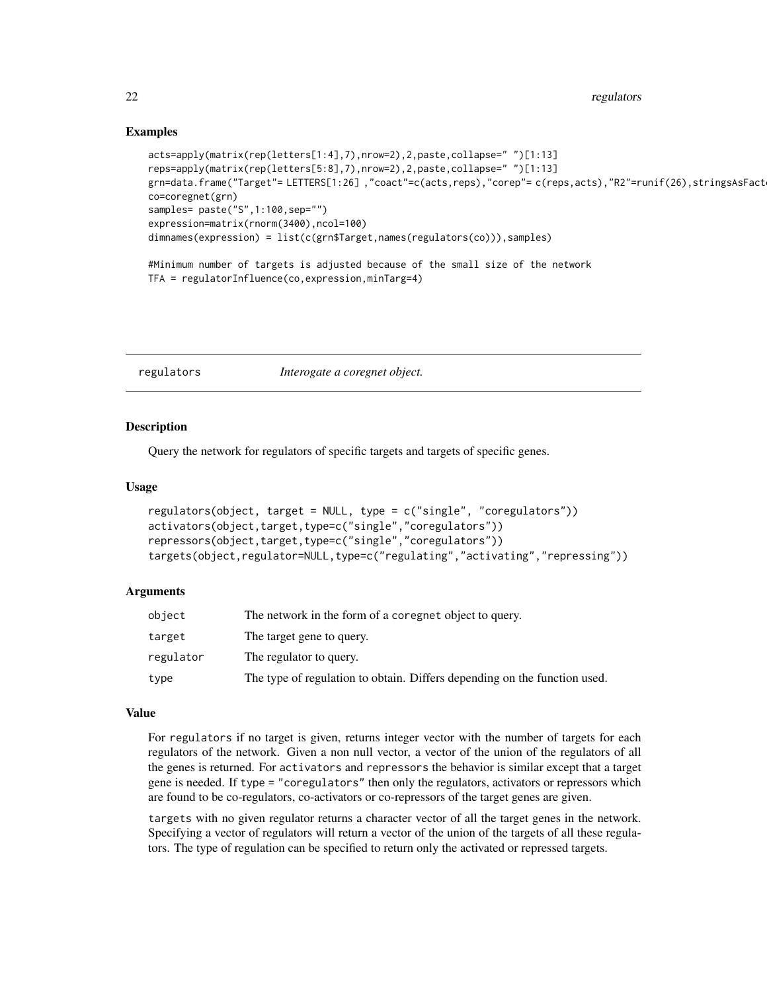# Examples

```
acts=apply(matrix(rep(letters[1:4],7),nrow=2),2,paste,collapse=" ")[1:13]
reps=apply(matrix(rep(letters[5:8],7),nrow=2),2,paste,collapse=" ")[1:13]
grn=data.frame("Target"= LETTERS[1:26],"coact"=c(acts,reps),"corep"= c(reps,acts),"R2"=runif(26),stringsAsFact
co=coregnet(grn)
samples= paste("S", 1:100, sep="")
expression=matrix(rnorm(3400),ncol=100)
dimnames(expression) = list(c(grn$Target,names(regulators(co))),samples)
#Minimum number of targets is adjusted because of the small size of the network
TFA = regulatorInfluence(co,expression,minTarg=4)
```
<span id="page-21-1"></span>regulators *Interogate a coregnet object.*

#### <span id="page-21-2"></span>Description

Query the network for regulators of specific targets and targets of specific genes.

#### Usage

```
regulators(object, target = NULL, type = c("single", "coregulators"))
activators(object,target,type=c("single","coregulators"))
repressors(object,target,type=c("single","coregulators"))
targets(object,regulator=NULL,type=c("regulating","activating","repressing"))
```
#### Arguments

| object    | The network in the form of a coregnet object to query.                    |
|-----------|---------------------------------------------------------------------------|
| target    | The target gene to query.                                                 |
| regulator | The regulator to query.                                                   |
| type      | The type of regulation to obtain. Differs depending on the function used. |

#### Value

For regulators if no target is given, returns integer vector with the number of targets for each regulators of the network. Given a non null vector, a vector of the union of the regulators of all the genes is returned. For activators and repressors the behavior is similar except that a target gene is needed. If type = "coregulators" then only the regulators, activators or repressors which are found to be co-regulators, co-activators or co-repressors of the target genes are given.

targets with no given regulator returns a character vector of all the target genes in the network. Specifying a vector of regulators will return a vector of the union of the targets of all these regulators. The type of regulation can be specified to return only the activated or repressed targets.

<span id="page-21-0"></span>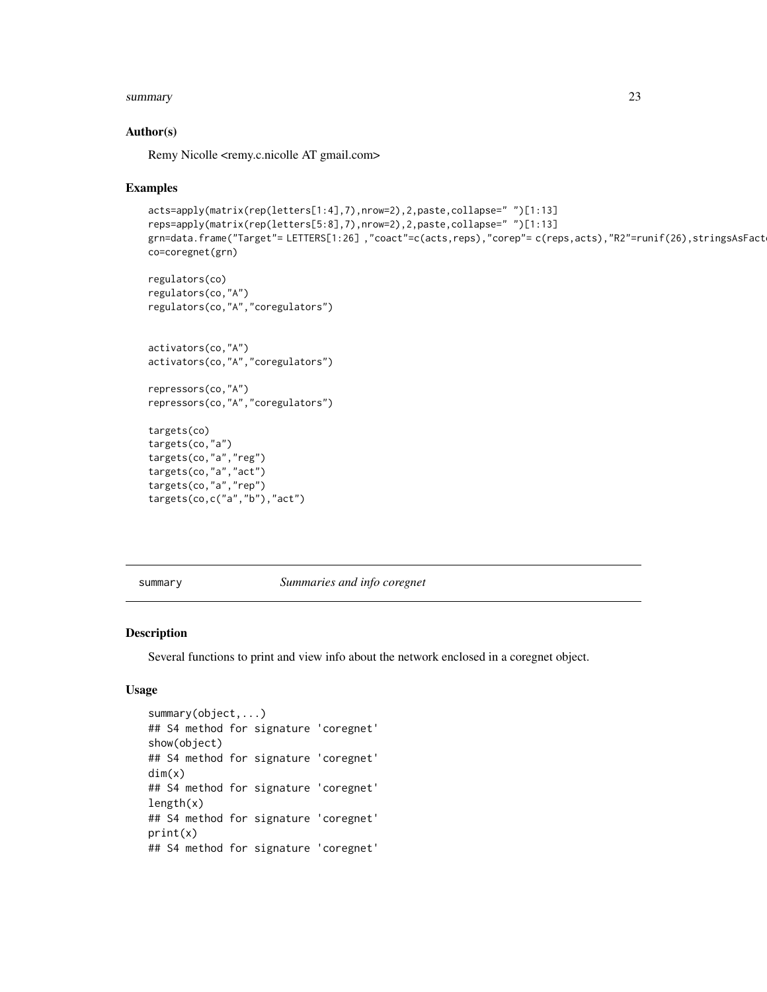#### <span id="page-22-0"></span>summary 23

### Author(s)

Remy Nicolle <remy.c.nicolle AT gmail.com>

#### Examples

```
acts=apply(matrix(rep(letters[1:4],7),nrow=2),2,paste,collapse=" ")[1:13]
reps=apply(matrix(rep(letters[5:8],7),nrow=2),2,paste,collapse=" ")[1:13]
grn=data.frame("Target"= LETTERS[1:26],"coact"=c(acts,reps),"corep"= c(reps,acts),"R2"=runif(26),stringsAsFact
co=coregnet(grn)
regulators(co)
regulators(co,"A")
regulators(co,"A","coregulators")
activators(co,"A")
activators(co,"A","coregulators")
repressors(co,"A")
repressors(co,"A","coregulators")
targets(co)
targets(co,"a")
targets(co,"a","reg")
targets(co,"a","act")
targets(co,"a","rep")
targets(co,c("a","b"),"act")
```
summary *Summaries and info coregnet*

#### Description

Several functions to print and view info about the network enclosed in a coregnet object.

#### Usage

```
summary(object,...)
## S4 method for signature 'coregnet'
show(object)
## S4 method for signature 'coregnet'
dim(x)
## S4 method for signature 'coregnet'
length(x)## S4 method for signature 'coregnet'
print(x)
## S4 method for signature 'coregnet'
```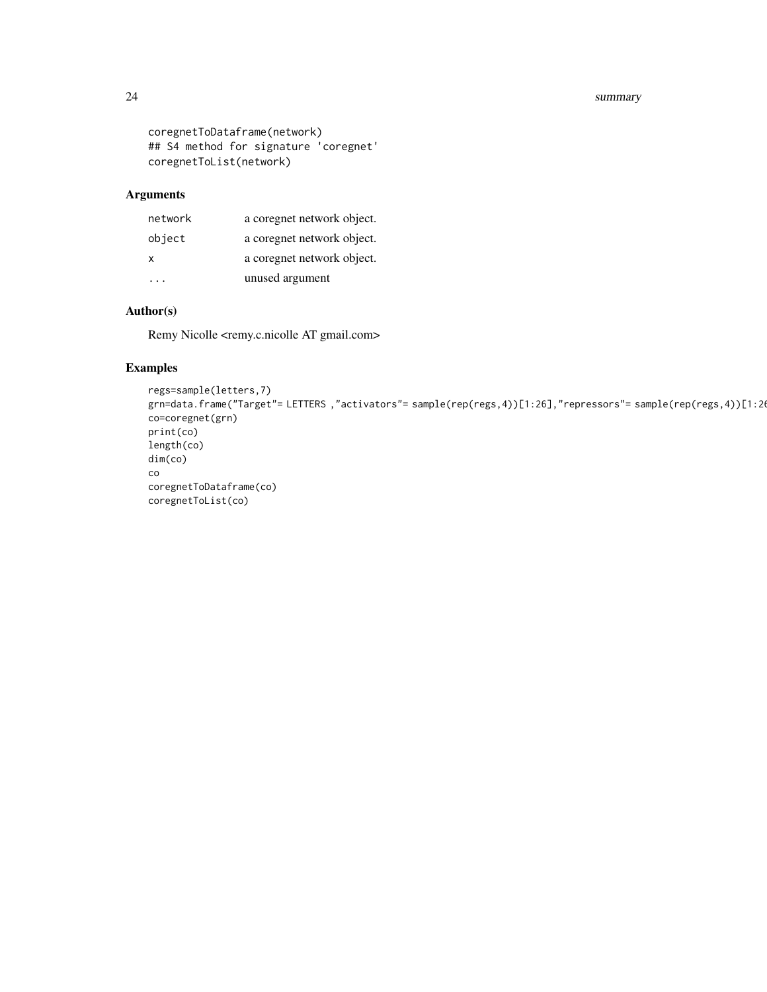#### 24 summary summary summary summary summary summary summary summary summary summary summary

```
coregnetToDataframe(network)
## S4 method for signature 'coregnet'
coregnetToList(network)
```
# Arguments

| network  | a coregnet network object. |
|----------|----------------------------|
| object   | a coregnet network object. |
| x        | a coregnet network object. |
| $\cdots$ | unused argument            |

# Author(s)

Remy Nicolle <remy.c.nicolle AT gmail.com>

# Examples

```
regs=sample(letters,7)
grn=data.frame("Target"= LETTERS,"activators"= sample(rep(regs,4))[1:26],"repressors"= sample(rep(regs,4))[1:20
co=coregnet(grn)
print(co)
length(co)
dim(co)
co
coregnetToDataframe(co)
coregnetToList(co)
```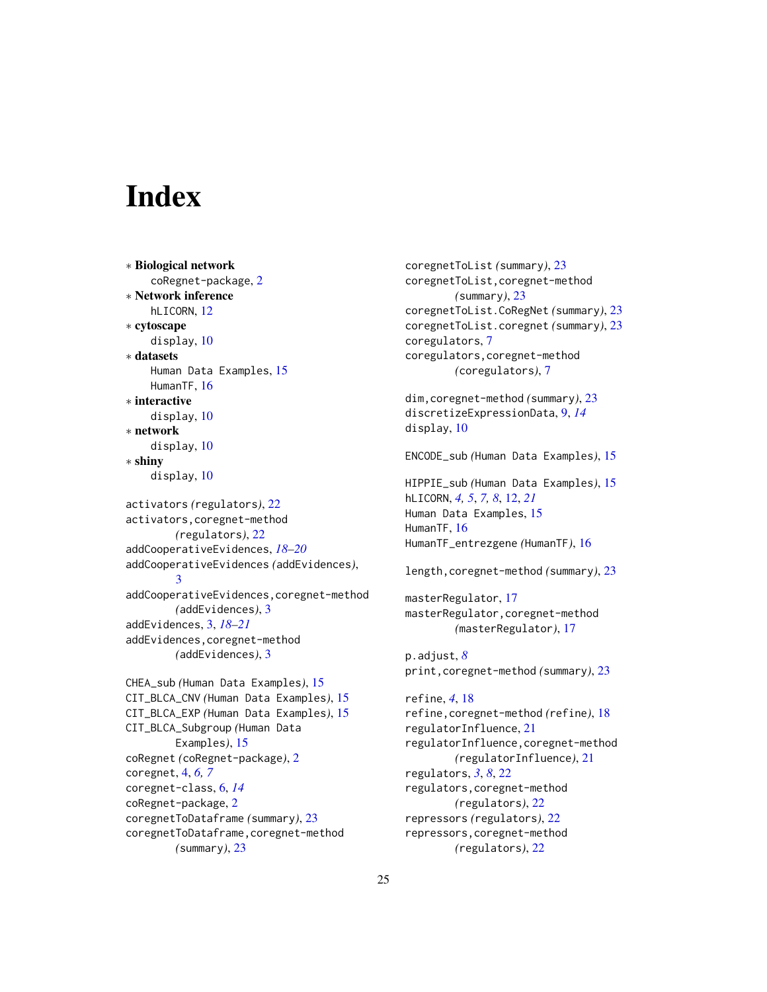# <span id="page-24-0"></span>**Index**

∗ Biological network coRegnet-package, [2](#page-1-0) ∗ Network inference hLICORN, [12](#page-11-0) ∗ cytoscape display, [10](#page-9-0) ∗ datasets Human Data Examples, [15](#page-14-0) HumanTF, [16](#page-15-0) ∗ interactive display, [10](#page-9-0) ∗ network display, [10](#page-9-0) ∗ shiny display, [10](#page-9-0) activators *(*regulators*)*, [22](#page-21-0) activators,coregnet-method *(*regulators*)*, [22](#page-21-0) addCooperativeEvidences, *[18–](#page-17-0)[20](#page-19-0)* addCooperativeEvidences *(*addEvidences*)*, [3](#page-2-0) addCooperativeEvidences,coregnet-method *(*addEvidences*)*, [3](#page-2-0) addEvidences, [3,](#page-2-0) *[18](#page-17-0)[–21](#page-20-0)* addEvidences,coregnet-method *(*addEvidences*)*, [3](#page-2-0) CHEA\_sub *(*Human Data Examples*)*, [15](#page-14-0) CIT\_BLCA\_CNV *(*Human Data Examples*)*, [15](#page-14-0) CIT\_BLCA\_EXP *(*Human Data Examples*)*, [15](#page-14-0) CIT\_BLCA\_Subgroup *(*Human Data Examples*)*, [15](#page-14-0) coRegnet *(*coRegnet-package*)*, [2](#page-1-0) coregnet, [4,](#page-3-0) *[6,](#page-5-0) [7](#page-6-0)* coregnet-class, [6,](#page-5-0) *[14](#page-13-0)* coRegnet-package, [2](#page-1-0) coregnetToDataframe *(*summary*)*, [23](#page-22-0) coregnetToDataframe,coregnet-method *(*summary*)*, [23](#page-22-0)

coregnetToList *(*summary*)*, [23](#page-22-0) coregnetToList,coregnet-method *(*summary*)*, [23](#page-22-0) coregnetToList.CoRegNet *(*summary*)*, [23](#page-22-0) coregnetToList.coregnet *(*summary*)*, [23](#page-22-0) coregulators, [7](#page-6-0) coregulators,coregnet-method *(*coregulators*)*, [7](#page-6-0) dim,coregnet-method *(*summary*)*, [23](#page-22-0) discretizeExpressionData, [9,](#page-8-0) *[14](#page-13-0)* display, [10](#page-9-0) ENCODE\_sub *(*Human Data Examples*)*, [15](#page-14-0) HIPPIE\_sub *(*Human Data Examples*)*, [15](#page-14-0) hLICORN, *[4,](#page-3-0) [5](#page-4-0)*, *[7,](#page-6-0) [8](#page-7-0)*, [12,](#page-11-0) *[21](#page-20-0)* Human Data Examples, [15](#page-14-0) HumanTF, [16](#page-15-0) HumanTF\_entrezgene *(*HumanTF*)*, [16](#page-15-0) length,coregnet-method *(*summary*)*, [23](#page-22-0) masterRegulator, [17](#page-16-0) masterRegulator,coregnet-method *(*masterRegulator*)*, [17](#page-16-0) p.adjust, *[8](#page-7-0)* print,coregnet-method *(*summary*)*, [23](#page-22-0) refine, *[4](#page-3-0)*, [18](#page-17-0) refine,coregnet-method *(*refine*)*, [18](#page-17-0) regulatorInfluence, [21](#page-20-0) regulatorInfluence,coregnet-method *(*regulatorInfluence*)*, [21](#page-20-0) regulators, *[3](#page-2-0)*, *[8](#page-7-0)*, [22](#page-21-0) regulators,coregnet-method *(*regulators*)*, [22](#page-21-0) repressors *(*regulators*)*, [22](#page-21-0) repressors,coregnet-method *(*regulators*)*, [22](#page-21-0)